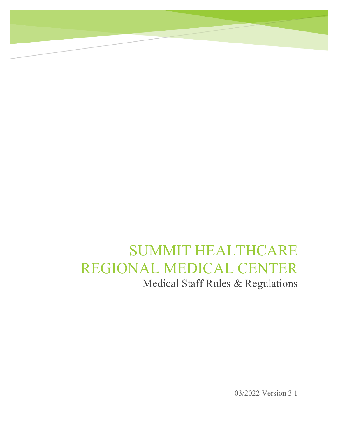# SUMMIT HEALTHCARE REGIONAL MEDICAL CENTER Medical Staff Rules & Regulations

03/2022 Version 3.1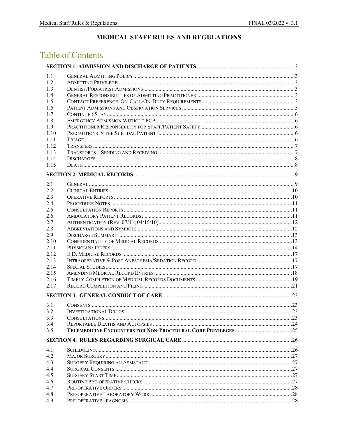# MEDICAL STAFF RULES AND REGULATIONS

# **Table of Contents**

| 1.1        |  |  |  |  |
|------------|--|--|--|--|
| 1.2        |  |  |  |  |
| 1.3        |  |  |  |  |
| 1.4        |  |  |  |  |
| 1.5        |  |  |  |  |
| 1.6        |  |  |  |  |
| 1.7        |  |  |  |  |
| 1.8        |  |  |  |  |
| 1.9        |  |  |  |  |
| 1.10       |  |  |  |  |
| 1.11       |  |  |  |  |
| 1.12       |  |  |  |  |
| 1.13       |  |  |  |  |
| 1.14       |  |  |  |  |
| 1.15       |  |  |  |  |
|            |  |  |  |  |
|            |  |  |  |  |
| 2.1<br>2.2 |  |  |  |  |
| 2.3        |  |  |  |  |
|            |  |  |  |  |
| 2.4<br>2.5 |  |  |  |  |
| 2.6        |  |  |  |  |
|            |  |  |  |  |
| 2.7<br>2.8 |  |  |  |  |
| 2.9        |  |  |  |  |
| 2.10       |  |  |  |  |
| 2.11       |  |  |  |  |
| 2.12       |  |  |  |  |
| 2.13       |  |  |  |  |
| 2.14       |  |  |  |  |
| 2.15       |  |  |  |  |
| 2.16       |  |  |  |  |
| 2.17       |  |  |  |  |
|            |  |  |  |  |
|            |  |  |  |  |
| 3.1        |  |  |  |  |
| 3.2        |  |  |  |  |
| 3.3        |  |  |  |  |
| 3.4        |  |  |  |  |
| 3.5        |  |  |  |  |
|            |  |  |  |  |
| 4.1        |  |  |  |  |
| 4.2        |  |  |  |  |
| 4.3        |  |  |  |  |
| 4.4        |  |  |  |  |
| 4.5        |  |  |  |  |
| 4.6        |  |  |  |  |
| 4.7        |  |  |  |  |
| 4.8        |  |  |  |  |
| 4.9        |  |  |  |  |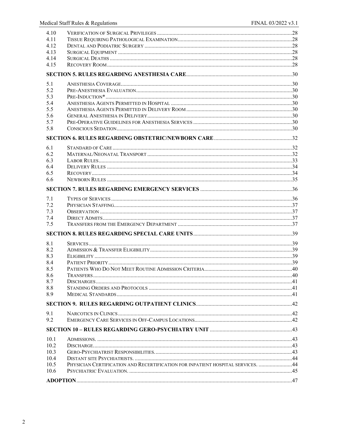| 4.10 |                                                                                 |  |
|------|---------------------------------------------------------------------------------|--|
| 4.11 |                                                                                 |  |
| 4.12 |                                                                                 |  |
| 4.13 |                                                                                 |  |
| 4.14 |                                                                                 |  |
| 4.15 |                                                                                 |  |
|      |                                                                                 |  |
| 5.1  |                                                                                 |  |
| 5.2  |                                                                                 |  |
| 5.3  |                                                                                 |  |
| 5.4  |                                                                                 |  |
| 5.5  |                                                                                 |  |
| 5.6  |                                                                                 |  |
| 5.7  |                                                                                 |  |
| 5.8  |                                                                                 |  |
|      |                                                                                 |  |
| 6.1  |                                                                                 |  |
| 6.2  |                                                                                 |  |
| 6.3  |                                                                                 |  |
| 6.4  |                                                                                 |  |
| 6.5  |                                                                                 |  |
| 6.6  |                                                                                 |  |
|      |                                                                                 |  |
| 7.1  |                                                                                 |  |
| 7.2  |                                                                                 |  |
| 7.3  |                                                                                 |  |
| 7.4  |                                                                                 |  |
| 7.5  |                                                                                 |  |
|      |                                                                                 |  |
| 8.1  |                                                                                 |  |
| 8.2  |                                                                                 |  |
| 8.3  |                                                                                 |  |
| 8.4  |                                                                                 |  |
| 8.5  |                                                                                 |  |
| 8.6  |                                                                                 |  |
| 8.7  |                                                                                 |  |
| 8.8  |                                                                                 |  |
| 8.9  |                                                                                 |  |
|      |                                                                                 |  |
| 9.1  |                                                                                 |  |
| 9.2  |                                                                                 |  |
|      |                                                                                 |  |
| 10.1 |                                                                                 |  |
| 10.2 |                                                                                 |  |
| 10.3 |                                                                                 |  |
| 10.4 |                                                                                 |  |
| 10.5 | PHYSICIAN CERTIFICATION AND RECERTIFICATION FOR INPATIENT HOSPITAL SERVICES. 44 |  |
| 10.6 |                                                                                 |  |
|      |                                                                                 |  |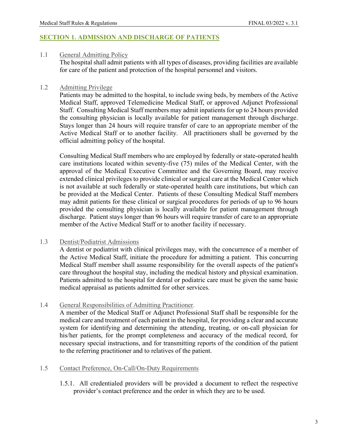#### <span id="page-3-0"></span>**SECTION 1. ADMISSION AND DISCHARGE OF PATIENTS**

#### <span id="page-3-1"></span>1.1 General Admitting Policy

The hospital shall admit patients with all types of diseases, providing facilities are available for care of the patient and protection of the hospital personnel and visitors.

#### <span id="page-3-2"></span>1.2 Admitting Privilege

Patients may be admitted to the hospital, to include swing beds, by members of the Active Medical Staff, approved Telemedicine Medical Staff, or approved Adjunct Professional Staff. Consulting Medical Staff members may admit inpatients for up to 24 hours provided the consulting physician is locally available for patient management through discharge. Stays longer than 24 hours will require transfer of care to an appropriate member of the Active Medical Staff or to another facility. All practitioners shall be governed by the official admitting policy of the hospital.

Consulting Medical Staff members who are employed by federally or state-operated health care institutions located within seventy-five (75) miles of the Medical Center, with the approval of the Medical Executive Committee and the Governing Board, may receive extended clinical privileges to provide clinical or surgical care at the Medical Center which is not available at such federally or state-operated health care institutions, but which can be provided at the Medical Center. Patients of these Consulting Medical Staff members may admit patients for these clinical or surgical procedures for periods of up to 96 hours provided the consulting physician is locally available for patient management through discharge. Patient stays longer than 96 hours will require transfer of care to an appropriate member of the Active Medical Staff or to another facility if necessary.

#### <span id="page-3-3"></span>1.3 Dentist/Podiatrist Admissions

A dentist or podiatrist with clinical privileges may, with the concurrence of a member of the Active Medical Staff, initiate the procedure for admitting a patient. This concurring Medical Staff member shall assume responsibility for the overall aspects of the patient's care throughout the hospital stay, including the medical history and physical examination. Patients admitted to the hospital for dental or podiatric care must be given the same basic medical appraisal as patients admitted for other services.

#### <span id="page-3-4"></span>1.4 General Responsibilities of Admitting Practitioner.

A member of the Medical Staff or Adjunct Professional Staff shall be responsible for the medical care and treatment of each patient in the hospital, for providing a clear and accurate system for identifying and determining the attending, treating, or on-call physician for his/her patients, for the prompt completeness and accuracy of the medical record, for necessary special instructions, and for transmitting reports of the condition of the patient to the referring practitioner and to relatives of the patient.

#### <span id="page-3-5"></span>1.5 Contact Preference, On-Call/On-Duty Requirements

1.5.1. All credentialed providers will be provided a document to reflect the respective provider's contact preference and the order in which they are to be used.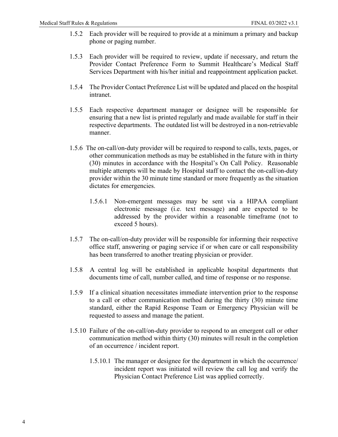- 1.5.2 Each provider will be required to provide at a minimum a primary and backup phone or paging number.
- 1.5.3 Each provider will be required to review, update if necessary, and return the Provider Contact Preference Form to Summit Healthcare's Medical Staff Services Department with his/her initial and reappointment application packet.
- 1.5.4 The Provider Contact Preference List will be updated and placed on the hospital intranet.
- 1.5.5 Each respective department manager or designee will be responsible for ensuring that a new list is printed regularly and made available for staff in their respective departments. The outdated list will be destroyed in a non-retrievable manner.
- 1.5.6 The on-call/on-duty provider will be required to respond to calls, texts, pages, or other communication methods as may be established in the future with in thirty (30) minutes in accordance with the Hospital's On Call Policy. Reasonable multiple attempts will be made by Hospital staff to contact the on-call/on-duty provider within the 30 minute time standard or more frequently as the situation dictates for emergencies.
	- 1.5.6.1 Non-emergent messages may be sent via a HIPAA compliant electronic message (i.e. text message) and are expected to be addressed by the provider within a reasonable timeframe (not to exceed 5 hours).
- 1.5.7 The on-call/on-duty provider will be responsible for informing their respective office staff, answering or paging service if or when care or call responsibility has been transferred to another treating physician or provider.
- 1.5.8 A central log will be established in applicable hospital departments that documents time of call, number called, and time of response or no response.
- 1.5.9 If a clinical situation necessitates immediate intervention prior to the response to a call or other communication method during the thirty (30) minute time standard, either the Rapid Response Team or Emergency Physician will be requested to assess and manage the patient.
- 1.5.10 Failure of the on-call/on-duty provider to respond to an emergent call or other communication method within thirty (30) minutes will result in the completion of an occurrence / incident report.
	- 1.5.10.1 The manager or designee for the department in which the occurrence/ incident report was initiated will review the call log and verify the Physician Contact Preference List was applied correctly.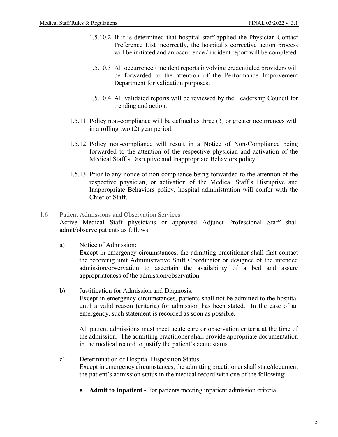- 1.5.10.2 If it is determined that hospital staff applied the Physician Contact Preference List incorrectly, the hospital's corrective action process will be initiated and an occurrence / incident report will be completed.
- 1.5.10.3 All occurrence / incident reports involving credentialed providers will be forwarded to the attention of the Performance Improvement Department for validation purposes.
- 1.5.10.4 All validated reports will be reviewed by the Leadership Council for trending and action.
- 1.5.11 Policy non-compliance will be defined as three (3) or greater occurrences with in a rolling two (2) year period.
- 1.5.12 Policy non-compliance will result in a Notice of Non-Compliance being forwarded to the attention of the respective physician and activation of the Medical Staff's Disruptive and Inappropriate Behaviors policy.
- 1.5.13 Prior to any notice of non-compliance being forwarded to the attention of the respective physician, or activation of the Medical Staff's Disruptive and Inappropriate Behaviors policy, hospital administration will confer with the Chief of Staff.

#### <span id="page-5-0"></span>1.6 Patient Admissions and Observation Services

Active Medical Staff physicians or approved Adjunct Professional Staff shall admit/observe patients as follows:

a) Notice of Admission:

Except in emergency circumstances, the admitting practitioner shall first contact the receiving unit Administrative Shift Coordinator or designee of the intended admission/observation to ascertain the availability of a bed and assure appropriateness of the admission/observation.

b) Justification for Admission and Diagnosis: Except in emergency circumstances, patients shall not be admitted to the hospital until a valid reason (criteria) for admission has been stated. In the case of an emergency, such statement is recorded as soon as possible.

All patient admissions must meet acute care or observation criteria at the time of the admission. The admitting practitioner shall provide appropriate documentation in the medical record to justify the patient's acute status.

- c) Determination of Hospital Disposition Status: Except in emergency circumstances, the admitting practitioner shall state/document the patient's admission status in the medical record with one of the following:
	- **Admit to Inpatient** For patients meeting inpatient admission criteria.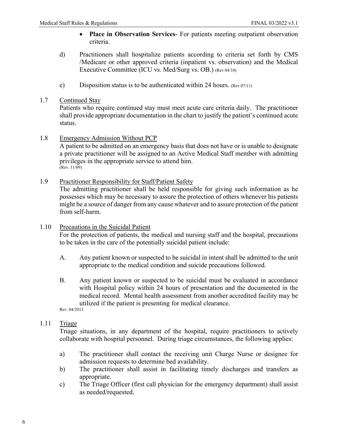- **Place in Observation Services** For patients meeting outpatient observation criteria.
- d) Practitioners shall hospitalize patients according to criteria set forth by CMS /Medicare or other approved criteria (inpatient vs. observation) and the Medical Executive Committee (ICU vs. Med/Surg vs. OB.) (Rev 04/10)
- e) Disposition status is to be authenticated within 24 hours. (Rev 07/11)
- <span id="page-6-0"></span>1.7 Continued Stay

Patients who require continued stay must meet acute care criteria daily. The practitioner shall provide appropriate documentation in the chart to justify the patient's continued acute status.

<span id="page-6-1"></span>1.8 Emergency Admission Without PCP

A patient to be admitted on an emergency basis that does not have or is unable to designate a private practitioner will be assigned to an Active Medical Staff member with admitting privileges in the appropriate service to attend him.  $($ Rev. 11/09 $)$ 

<span id="page-6-2"></span>1.9 Practitioner Responsibility for Staff/Patient Safety

The admitting practitioner shall be held responsible for giving such information as he possesses which may be necessary to assure the protection of others whenever his patients might be a source of danger from any cause whatever and to assure protection of the patient from self-harm.

<span id="page-6-3"></span>1.10 Precautions in the Suicidal Patient

For the protection of patients, the medical and nursing staff and the hospital, precautions to be taken in the care of the potentially suicidal patient include:

- A. Any patient known or suspected to be suicidal in intent shall be admitted to the unit appropriate to the medical condition and suicide precautions followed.
- B. Any patient known or suspected to be suicidal must be evaluated in accordance with Hospital policy within 24 hours of presentation and the documented in the medical record. Mental health assessment from another accredited facility may be utilized if the patient is presenting for medical clearance. Rev. 04/2013
- 

# <span id="page-6-4"></span>1.11 Triage

Triage situations, in any department of the hospital, require practitioners to actively collaborate with hospital personnel. During triage circumstances, the following applies:

- a) The practitioner shall contact the receiving unit Charge Nurse or designee for admission requests to determine bed availability.
- b) The practitioner shall assist in facilitating timely discharges and transfers as appropriate.
- c) The Triage Officer (first call physician for the emergency department) shall assist as needed/requested.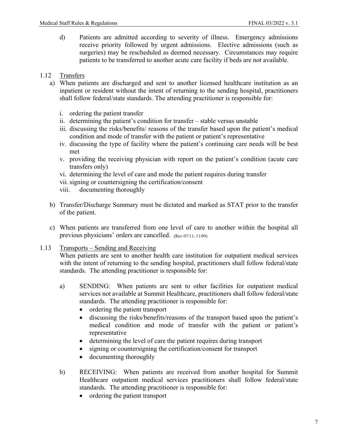d) Patients are admitted according to severity of illness. Emergency admissions receive priority followed by urgent admissions. Elective admissions (such as surgeries) may be rescheduled as deemed necessary. Circumstances may require patients to be transferred to another acute care facility if beds are not available.

# <span id="page-7-0"></span>1.12 Transfers

- a) When patients are discharged and sent to another licensed healthcare institution as an inpatient or resident without the intent of returning to the sending hospital, practitioners shall follow federal/state standards. The attending practitioner is responsible for:
	- i. ordering the patient transfer
	- ii. determining the patient's condition for transfer stable versus unstable
	- iii. discussing the risks/benefits/ reasons of the transfer based upon the patient's medical condition and mode of transfer with the patient or patient's representative
	- iv. discussing the type of facility where the patient's continuing care needs will be best met
	- v. providing the receiving physician with report on the patient's condition (acute care transfers only)
	- vi. determining the level of care and mode the patient requires during transfer
	- vii. signing or countersigning the certification/consent
	- viii. documenting thoroughly
- b) Transfer/Discharge Summary must be dictated and marked as STAT prior to the transfer of the patient.
- c) When patients are transferred from one level of care to another within the hospital all previous physicians' orders are cancelled. (Rev 07/11; 11/09)
- <span id="page-7-1"></span>1.13 Transports – Sending and Receiving

When patients are sent to another health care institution for outpatient medical services with the intent of returning to the sending hospital, practitioners shall follow federal/state standards. The attending practitioner is responsible for:

- a) SENDING: When patients are sent to other facilities for outpatient medical services not available at Summit Healthcare, practitioners shall follow federal/state standards. The attending practitioner is responsible for:
	- ordering the patient transport
	- discussing the risks/benefits/reasons of the transport based upon the patient's medical condition and mode of transfer with the patient or patient's representative
	- determining the level of care the patient requires during transport
	- signing or countersigning the certification/consent for transport
	- documenting thoroughly
- b) RECEIVING: When patients are received from another hospital for Summit Healthcare outpatient medical services practitioners shall follow federal/state standards. The attending practitioner is responsible for:
	- ordering the patient transport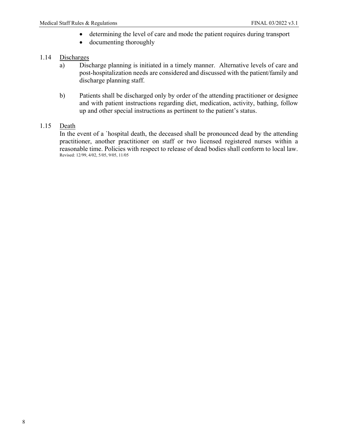- determining the level of care and mode the patient requires during transport
- documenting thoroughly

# <span id="page-8-0"></span>1.14 Discharges

- a) Discharge planning is initiated in a timely manner. Alternative levels of care and post-hospitalization needs are considered and discussed with the patient/family and discharge planning staff.
- b) Patients shall be discharged only by order of the attending practitioner or designee and with patient instructions regarding diet, medication, activity, bathing, follow up and other special instructions as pertinent to the patient's status.

### <span id="page-8-1"></span>1.15 Death

 In the event of a `hospital death, the deceased shall be pronounced dead by the attending practitioner, another practitioner on staff or two licensed registered nurses within a reasonable time. Policies with respect to release of dead bodies shall conform to local law. Revised: 12/99, 4/02, 5/05, 9/05, 11/05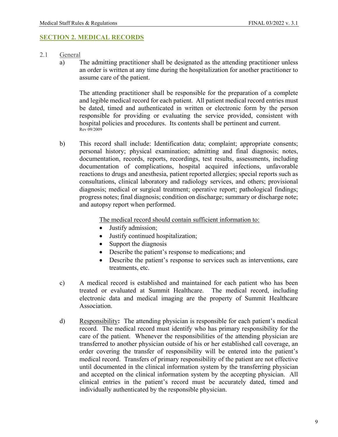#### <span id="page-9-0"></span>**SECTION 2. MEDICAL RECORDS**

- <span id="page-9-1"></span>2.1 General
	- a) The admitting practitioner shall be designated as the attending practitioner unless an order is written at any time during the hospitalization for another practitioner to assume care of the patient.

The attending practitioner shall be responsible for the preparation of a complete and legible medical record for each patient. All patient medical record entries must be dated, timed and authenticated in written or electronic form by the person responsible for providing or evaluating the service provided, consistent with hospital policies and procedures. Its contents shall be pertinent and current. Rev 09/2009

b) This record shall include: Identification data; complaint; appropriate consents; personal history; physical examination; admitting and final diagnosis; notes, documentation, records, reports, recordings, test results, assessments, including documentation of complications, hospital acquired infections, unfavorable reactions to drugs and anesthesia, patient reported allergies; special reports such as consultations, clinical laboratory and radiology services, and others; provisional diagnosis; medical or surgical treatment; operative report; pathological findings; progress notes; final diagnosis; condition on discharge; summary or discharge note; and autopsy report when performed.

The medical record should contain sufficient information to:

- Justify admission;
- Justify continued hospitalization;
- Support the diagnosis
- Describe the patient's response to medications; and
- Describe the patient's response to services such as interventions, care treatments, etc.
- c) A medical record is established and maintained for each patient who has been treated or evaluated at Summit Healthcare. The medical record, including electronic data and medical imaging are the property of Summit Healthcare Association.
- d) Responsibility**:** The attending physician is responsible for each patient's medical record. The medical record must identify who has primary responsibility for the care of the patient. Whenever the responsibilities of the attending physician are transferred to another physician outside of his or her established call coverage, an order covering the transfer of responsibility will be entered into the patient's medical record. Transfers of primary responsibility of the patient are not effective until documented in the clinical information system by the transferring physician and accepted on the clinical information system by the accepting physician. All clinical entries in the patient's record must be accurately dated, timed and individually authenticated by the responsible physician.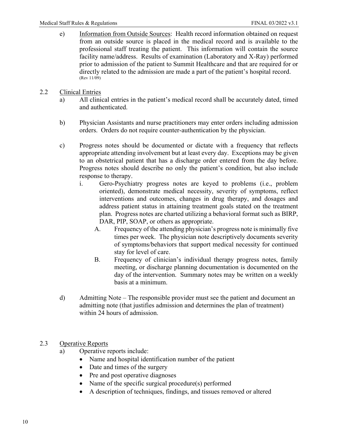- e) Information from Outside Sources: Health record information obtained on request from an outside source is placed in the medical record and is available to the professional staff treating the patient. This information will contain the source facility name/address. Results of examination (Laboratory and X-Ray) performed prior to admission of the patient to Summit Healthcare and that are required for or directly related to the admission are made a part of the patient's hospital record. (Rev 11/09)
- <span id="page-10-0"></span>2.2 Clinical Entries
	- a) All clinical entries in the patient's medical record shall be accurately dated, timed and authenticated.
	- b) Physician Assistants and nurse practitioners may enter orders including admission orders. Orders do not require counter-authentication by the physician.
	- c) Progress notes should be documented or dictate with a frequency that reflects appropriate attending involvement but at least every day. Exceptions may be given to an obstetrical patient that has a discharge order entered from the day before. Progress notes should describe no only the patient's condition, but also include response to therapy.
		- i. Gero-Psychiatry progress notes are keyed to problems (i.e., problem oriented), demonstrate medical necessity, severity of symptoms, reflect interventions and outcomes, changes in drug therapy, and dosages and address patient status in attaining treatment goals stated on the treatment plan. Progress notes are charted utilizing a behavioral format such as BIRP, DAR, PIP, SOAP, or others as appropriate.
			- A. Frequency of the attending physician's progress note is minimally five times per week. The physician note descriptively documents severity of symptoms/behaviors that support medical necessity for continued stay for level of care.
			- B. Frequency of clinician's individual therapy progress notes, family meeting, or discharge planning documentation is documented on the day of the intervention. Summary notes may be written on a weekly basis at a minimum.
	- d) Admitting Note The responsible provider must see the patient and document an admitting note (that justifies admission and determines the plan of treatment) within 24 hours of admission.
- <span id="page-10-1"></span>2.3 Operative Reports
	- a) Operative reports include:
		- Name and hospital identification number of the patient
		- Date and times of the surgery
		- Pre and post operative diagnoses
		- Name of the specific surgical procedure(s) performed
		- A description of techniques, findings, and tissues removed or altered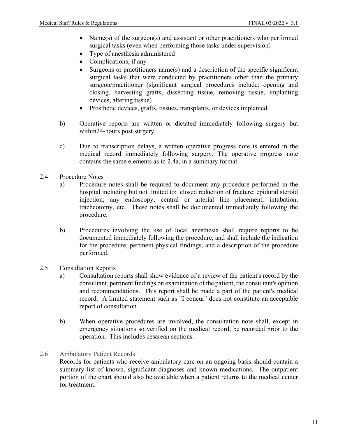- Name(s) of the surgeon(s) and assistant or other practitioners who performed surgical tasks (even when performing those tasks under supervision)
- Type of anesthesia administered
- Complications, if any
- Surgeons or practitioners name(s) and a description of the specific significant surgical tasks that were conducted by practitioners other than the primary surgeon/practitioner (significant surgical procedures include: opening and closing, harvesting grafts, dissecting tissue, removing tissue, implanting devices, altering tissue)
- Prosthetic devices, grafts, tissues, transplants, or devices implanted
- b) Operative reports are written or dictated immediately following surgery but within24-hours post surgery.
- c) Due to transcription delays, a written operative progress note is entered in the medical record immediately following surgery. The operative progress note contains the same elements as in 2.4a, in a summary format
- <span id="page-11-0"></span>2.4 Procedure Notes
	- a) Procedure notes shall be required to document any procedure performed in the hospital including but not limited to: closed reduction of fracture; epidural steroid injection; any endoscopy; central or arterial line placement, intubation, tracheotomy, etc. These notes shall be documented immediately following the procedure.
	- b) Procedures involving the use of local anesthesia shall require reports to be documented immediately following the procedure, and shall include the indication for the procedure, pertinent physical findings, and a description of the procedure performed.
- <span id="page-11-1"></span>2.5 Consultation Reports
	- a) Consultation reports shall show evidence of a review of the patient's record by the consultant, pertinent findings on examination of the patient, the consultant's opinion and recommendations. This report shall be made a part of the patient's medical record. A limited statement such as "I concur" does not constitute an acceptable report of consultation.
	- b) When operative procedures are involved, the consultation note shall, except in emergency situations so verified on the medical record, be recorded prior to the operation. This includes cesarean sections.
- <span id="page-11-2"></span>2.6 Ambulatory Patient Records

Records for patients who receive ambulatory care on an ongoing basis should contain a summary list of known, significant diagnoses and known medications. The outpatient portion of the chart should also be available when a patient returns to the medical center for treatment.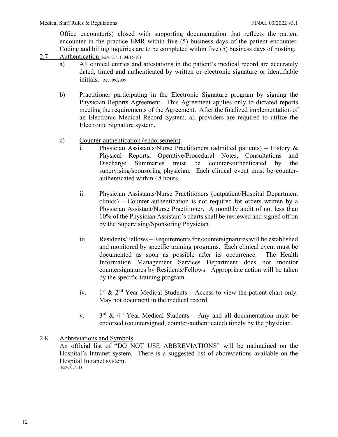Office encounter(s) closed with supporting documentation that reflects the patient encounter in the practice EMR within five (5) business days of the patient encounter. Coding and billing inquiries are to be completed within five (5) business days of posting.

- <span id="page-12-0"></span>2.7 **Authentication** (Rev. 07/11; 04/15/10)
	- a) All clinical entries and attestations in the patient's medical record are accurately dated, timed and authenticated by written or electronic signature or identifiable initials. Rev. 09/2009
	- b) Practitioner participating in the Electronic Signature program by signing the Physician Reports Agreement. This Agreement applies only to dictated reports meeting the requirements of the Agreement. After the finalized implementation of an Electronic Medical Record System, all providers are required to utilize the Electronic Signature system.
	- c) Counter-authentication (endorsement)
		- i. Physician Assistants/Nurse Practitioners (admitted patients) History & Physical Reports, Operative/Procedural Notes, Consultations and Discharge Summaries must be counter-authenticated by the supervising/sponsoring physician. Each clinical event must be counterauthenticated within 48 hours.
		- ii. Physician Assistants/Nurse Practitioners (outpatient/Hospital Department clinics) – Counter-authentication is not required for orders written by a Physician Assistant/Nurse Practitioner. A monthly audit of not less than 10% of the Physician Assistant's charts shall be reviewed and signed off on by the Supervising/Sponsoring Physician.
		- iii. Residents/Fellows Requirements for countersignatures will be established and monitored by specific training programs. Each clinical event must be documented as soon as possible after its occurrence. The Health Information Management Services Department does not monitor countersignatures by Residents/Fellows. Appropriate action will be taken by the specific training program.
		- iv.  $1<sup>st</sup>$  &  $2<sup>nd</sup>$  Year Medical Students Access to view the patient chart only. May not document in the medical record.
		- v.  $3<sup>rd</sup>$  & 4<sup>th</sup> Year Medical Students Any and all documentation must be endorsed (countersigned, counter-authenticated) timely by the physician.

#### <span id="page-12-1"></span>2.8 Abbreviations and Symbols An official list of "DO NOT USE ABBREVIATIONS" will be maintained on the Hospital's Intranet system. There is a suggested list of abbreviations available on the Hospital Intranet system.  $(Rev. 07/11)$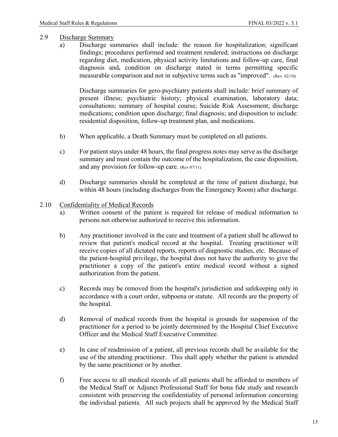#### <span id="page-13-0"></span>2.9 Discharge Summary

a) Discharge summaries shall include: the reason for hospitalization; significant findings; procedures performed and treatment rendered; instructions on discharge regarding diet, medication, physical activity limitations and follow-up care, final diagnosis and, condition on discharge stated in terms permitting specific measurable comparison and not in subjective terms such as "improved". (Rev. 02/10)

Discharge summaries for gero-psychiatry patients shall include: brief summary of present illness; psychiatric history; physical examination, laboratory data; consultations; summary of hospital course; Suicide Risk Assessment; discharge medications; condition upon discharge; final diagnosis; and disposition to include: residential disposition, follow-up treatment plan, and medications.

- b) When applicable, a Death Summary must be completed on all patients.
- c) For patient stays under 48 hours, the final progress notes may serve as the discharge summary and must contain the outcome of the hospitalization, the case disposition, and any provision for follow-up care. (Rev 07/11)
- d) Discharge summaries should be completed at the time of patient discharge, but within 48 hours (including discharges from the Emergency Room) after discharge.

#### <span id="page-13-1"></span>2.10 Confidentiality of Medical Records

- a) Written consent of the patient is required for release of medical information to persons not otherwise authorized to receive this information.
- b) Any practitioner involved in the care and treatment of a patient shall be allowed to review that patient's medical record at the hospital. Treating practitioner will receive copies of all dictated reports, reports of diagnostic studies, etc. Because of the patient-hospital privilege, the hospital does not have the authority to give the practitioner a copy of the patient's entire medical record without a signed authorization from the patient.
- c) Records may be removed from the hospital's jurisdiction and safekeeping only in accordance with a court order, subpoena or statute. All records are the property of the hospital.
- d) Removal of medical records from the hospital is grounds for suspension of the practitioner for a period to be jointly determined by the Hospital Chief Executive Officer and the Medical Staff Executive Committee.
- e) In case of readmission of a patient, all previous records shall be available for the use of the attending practitioner. This shall apply whether the patient is attended by the same practitioner or by another.
- f) Free access to all medical records of all patients shall be afforded to members of the Medical Staff or Adjunct Professional Staff for bona fide study and research consistent with preserving the confidentiality of personal information concerning the individual patients. All such projects shall be approved by the Medical Staff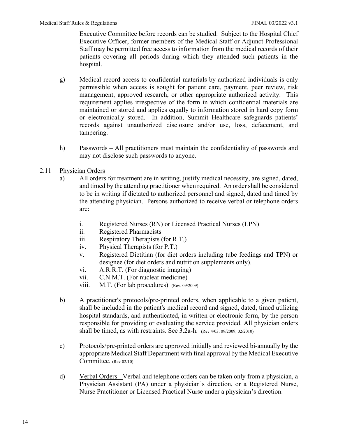Executive Committee before records can be studied. Subject to the Hospital Chief Executive Officer, former members of the Medical Staff or Adjunct Professional Staff may be permitted free access to information from the medical records of their patients covering all periods during which they attended such patients in the hospital.

- g) Medical record access to confidential materials by authorized individuals is only permissible when access is sought for patient care, payment, peer review, risk management, approved research, or other appropriate authorized activity. This requirement applies irrespective of the form in which confidential materials are maintained or stored and applies equally to information stored in hard copy form or electronically stored. In addition, Summit Healthcare safeguards patients' records against unauthorized disclosure and/or use, loss, defacement, and tampering.
- h) Passwords All practitioners must maintain the confidentiality of passwords and may not disclose such passwords to anyone.
- <span id="page-14-0"></span>2.11 Physician Orders
	- a) All orders for treatment are in writing, justify medical necessity, are signed, dated, and timed by the attending practitioner when required. An order shall be considered to be in writing if dictated to authorized personnel and signed, dated and timed by the attending physician. Persons authorized to receive verbal or telephone orders are:
		- i. Registered Nurses (RN) or Licensed Practical Nurses (LPN)
		- ii. Registered Pharmacists
		- iii. Respiratory Therapists (for R.T.)
		- iv. Physical Therapists (for P.T.)
		- v. Registered Dietitian (for diet orders including tube feedings and TPN) or designee (for diet orders and nutrition supplements only).
		- vi. A.R.R.T. (For diagnostic imaging)
		- vii. C.N.M.T. (For nuclear medicine)
		- viii. M.T. (For lab procedures) (Rev. 09/2009)
	- b) A practitioner's protocols/pre-printed orders, when applicable to a given patient, shall be included in the patient's medical record and signed, dated, timed utilizing hospital standards, and authenticated, in written or electronic form, by the person responsible for providing or evaluating the service provided. All physician orders shall be timed, as with restraints. See 3.2a-h. (Rev 4/03; 09/2009; 02/2010)
	- c) Protocols/pre-printed orders are approved initially and reviewed bi-annually by the appropriate Medical Staff Department with final approval by the Medical Executive Committee. (Rev 02/10)
	- d) Verbal Orders Verbal and telephone orders can be taken only from a physician, a Physician Assistant (PA) under a physician's direction, or a Registered Nurse, Nurse Practitioner or Licensed Practical Nurse under a physician's direction.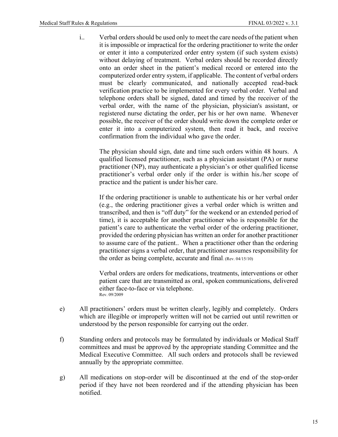i.. Verbal orders should be used only to meet the care needs of the patient when it is impossible or impractical for the ordering practitioner to write the order or enter it into a computerized order entry system (if such system exists) without delaying of treatment. Verbal orders should be recorded directly onto an order sheet in the patient's medical record or entered into the computerized order entry system, if applicable. The content of verbal orders must be clearly communicated, and nationally accepted read-back verification practice to be implemented for every verbal order. Verbal and telephone orders shall be signed, dated and timed by the receiver of the verbal order, with the name of the physician, physician's assistant, or registered nurse dictating the order, per his or her own name. Whenever possible, the receiver of the order should write down the complete order or enter it into a computerized system, then read it back, and receive confirmation from the individual who gave the order.

The physician should sign, date and time such orders within 48 hours. A qualified licensed practitioner, such as a physician assistant (PA) or nurse practitioner (NP), may authenticate a physician's or other qualified license practitioner's verbal order only if the order is within his./her scope of practice and the patient is under his/her care.

If the ordering practitioner is unable to authenticate his or her verbal order (e.g., the ordering practitioner gives a verbal order which is written and transcribed, and then is "off duty" for the weekend or an extended period of time), it is acceptable for another practitioner who is responsible for the patient's care to authenticate the verbal order of the ordering practitioner, provided the ordering physician has written an order for another practitioner to assume care of the patient.. When a practitioner other than the ordering practitioner signs a verbal order, that practitioner assumes responsibility for the order as being complete, accurate and final. (Rev. 04/15/10)

Verbal orders are orders for medications, treatments, interventions or other patient care that are transmitted as oral, spoken communications, delivered either face-to-face or via telephone. Rev. 09/2009

- e) All practitioners' orders must be written clearly, legibly and completely. Orders which are illegible or improperly written will not be carried out until rewritten or understood by the person responsible for carrying out the order.
- f) Standing orders and protocols may be formulated by individuals or Medical Staff committees and must be approved by the appropriate standing Committee and the Medical Executive Committee. All such orders and protocols shall be reviewed annually by the appropriate committee.
- g) All medications on stop-order will be discontinued at the end of the stop-order period if they have not been reordered and if the attending physician has been notified.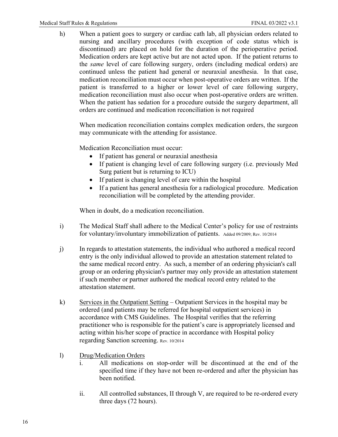h) When a patient goes to surgery or cardiac cath lab, all physician orders related to nursing and ancillary procedures (with exception of code status which is discontinued) are placed on hold for the duration of the perioperative period. Medication orders are kept active but are not acted upon. If the patient returns to the *same* level of care following surgery, orders (including medical orders) are continued unless the patient had general or neuraxial anesthesia. In that case, medication reconciliation must occur when post-operative orders are written. If the patient is transferred to a higher or lower level of care following surgery, medication reconciliation must also occur when post-operative orders are written. When the patient has sedation for a procedure outside the surgery department, all orders are continued and medication reconciliation is not required

When medication reconciliation contains complex medication orders, the surgeon may communicate with the attending for assistance.

Medication Reconciliation must occur:

- If patient has general or neuraxial anesthesia
- If patient is changing level of care following surgery (i.e. previously Med Surg patient but is returning to ICU)
- If patient is changing level of care within the hospital
- If a patient has general anesthesia for a radiological procedure. Medication reconciliation will be completed by the attending provider.

When in doubt, do a medication reconciliation.

- i) The Medical Staff shall adhere to the Medical Center's policy for use of restraints for voluntary/involuntary immobilization of patients. Added 09/2009; Rev. 10/2014
- j) In regards to attestation statements, the individual who authored a medical record entry is the only individual allowed to provide an attestation statement related to the same medical record entry. As such, a member of an ordering physician's call group or an ordering physician's partner may only provide an attestation statement if such member or partner authored the medical record entry related to the attestation statement.
- k) Services in the Outpatient Setting Outpatient Services in the hospital may be ordered (and patients may be referred for hospital outpatient services) in accordance with CMS Guidelines. The Hospital verifies that the referring practitioner who is responsible for the patient's care is appropriately licensed and acting within his/her scope of practice in accordance with Hospital policy regarding Sanction screening. Rev. 10/2014
- l) Drug/Medication Orders
	- i. All medications on stop-order will be discontinued at the end of the specified time if they have not been re-ordered and after the physician has been notified.
	- ii. All controlled substances, II through V, are required to be re-ordered every three days (72 hours).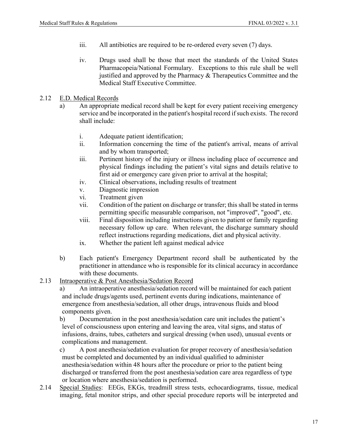- iii. All antibiotics are required to be re-ordered every seven (7) days.
- iv. Drugs used shall be those that meet the standards of the United States Pharmacopeia/National Formulary. Exceptions to this rule shall be well justified and approved by the Pharmacy & Therapeutics Committee and the Medical Staff Executive Committee.
- <span id="page-17-0"></span>2.12 E.D. Medical Records
	- a) An appropriate medical record shall be kept for every patient receiving emergency service and be incorporated in the patient's hospital record if such exists. The record shall include:
		- i. Adequate patient identification;
		- ii. Information concerning the time of the patient's arrival, means of arrival and by whom transported;
		- iii. Pertinent history of the injury or illness including place of occurrence and physical findings including the patient's vital signs and details relative to first aid or emergency care given prior to arrival at the hospital;
		- iv. Clinical observations, including results of treatment
		- v. Diagnostic impression
		- vi. Treatment given
		- vii. Condition of the patient on discharge or transfer; this shall be stated in terms permitting specific measurable comparison, not "improved", "good", etc.
		- viii. Final disposition including instructions given to patient or family regarding necessary follow up care. When relevant, the discharge summary should reflect instructions regarding medications, diet and physical activity.
		- ix. Whether the patient left against medical advice
	- b) Each patient's Emergency Department record shall be authenticated by the practitioner in attendance who is responsible for its clinical accuracy in accordance with these documents.
- <span id="page-17-1"></span>2.13 Intraoperative & Post Anesthesia/Sedation Record
	- a) An intraoperative anesthesia/sedation record will be maintained for each patient and include drugs/agents used, pertinent events during indications, maintenance of emergence from anesthesia/sedation, all other drugs, intravenous fluids and blood components given.

b) Documentation in the post anesthesia/sedation care unit includes the patient's level of consciousness upon entering and leaving the area, vital signs, and status of infusions, drains, tubes, catheters and surgical dressing (when used), unusual events or complications and management.

- c) A post anesthesia/sedation evaluation for proper recovery of anesthesia/sedation must be completed and documented by an individual qualified to administer anesthesia/sedation within 48 hours after the procedure or prior to the patient being discharged or transferred from the post anesthesia/sedation care area regardless of type or location where anesthesia/sedation is performed.
- <span id="page-17-2"></span>2.14 Special Studies: EEGs, EKGs, treadmill stress tests, echocardiograms, tissue, medical imaging, fetal monitor strips, and other special procedure reports will be interpreted and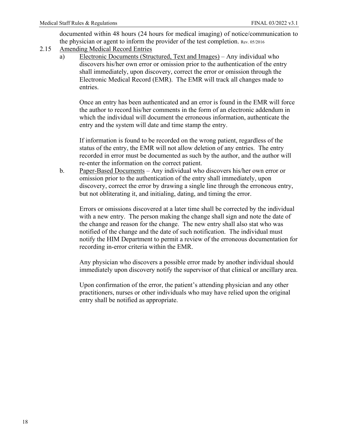documented within 48 hours (24 hours for medical imaging) of notice/communication to the physician or agent to inform the provider of the test completion. Rev. 05/2016

- <span id="page-18-0"></span>2.15 Amending Medical Record Entries
	- a) Electronic Documents (Structured, Text and Images) Any individual who discovers his/her own error or omission prior to the authentication of the entry shall immediately, upon discovery, correct the error or omission through the Electronic Medical Record (EMR). The EMR will track all changes made to entries.

Once an entry has been authenticated and an error is found in the EMR will force the author to record his/her comments in the form of an electronic addendum in which the individual will document the erroneous information, authenticate the entry and the system will date and time stamp the entry.

If information is found to be recorded on the wrong patient, regardless of the status of the entry, the EMR will not allow deletion of any entries. The entry recorded in error must be documented as such by the author, and the author will re-enter the information on the correct patient.

b. Paper-Based Documents – Any individual who discovers his/her own error or omission prior to the authentication of the entry shall immediately, upon discovery, correct the error by drawing a single line through the erroneous entry, but not obliterating it, and initialing, dating, and timing the error.

Errors or omissions discovered at a later time shall be corrected by the individual with a new entry. The person making the change shall sign and note the date of the change and reason for the change. The new entry shall also stat who was notified of the change and the date of such notification. The individual must notify the HIM Department to permit a review of the erroneous documentation for recording in-error criteria within the EMR.

Any physician who discovers a possible error made by another individual should immediately upon discovery notify the supervisor of that clinical or ancillary area.

Upon confirmation of the error, the patient's attending physician and any other practitioners, nurses or other individuals who may have relied upon the original entry shall be notified as appropriate.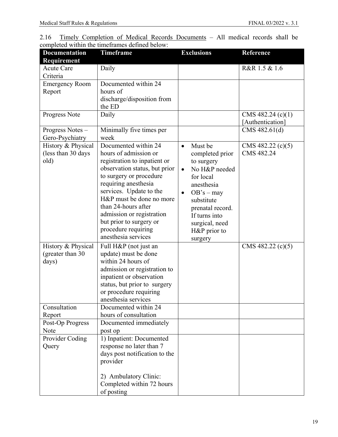<span id="page-19-0"></span>

|  |  |  |                                                | 2.16 Timely Completion of Medical Records Documents – All medical records shall be |  |  |  |
|--|--|--|------------------------------------------------|------------------------------------------------------------------------------------|--|--|--|
|  |  |  | completed within the timeframes defined below: |                                                                                    |  |  |  |

| <b>Documentation</b><br>Requirement               | <b>Timeframe</b>                                                                                                                                                                                                                                                                                                                                      | <b>Exclusions</b>                                                                                                                                                                                                                           | Reference                               |
|---------------------------------------------------|-------------------------------------------------------------------------------------------------------------------------------------------------------------------------------------------------------------------------------------------------------------------------------------------------------------------------------------------------------|---------------------------------------------------------------------------------------------------------------------------------------------------------------------------------------------------------------------------------------------|-----------------------------------------|
| <b>Acute Care</b><br>Criteria                     | Daily                                                                                                                                                                                                                                                                                                                                                 |                                                                                                                                                                                                                                             | R&R 1.5 & 1.6                           |
| <b>Emergency Room</b><br>Report                   | Documented within 24<br>hours of<br>discharge/disposition from<br>the ED                                                                                                                                                                                                                                                                              |                                                                                                                                                                                                                                             |                                         |
| Progress Note                                     | Daily                                                                                                                                                                                                                                                                                                                                                 |                                                                                                                                                                                                                                             | CMS 482.24 $(c)(1)$<br>[Authentication] |
| Progress Notes -<br>Gero-Psychiatry               | Minimally five times per<br>week                                                                                                                                                                                                                                                                                                                      |                                                                                                                                                                                                                                             | CMS 482.61(d)                           |
| History & Physical<br>(less than 30 days)<br>old) | Documented within 24<br>hours of admission or<br>registration to inpatient or<br>observation status, but prior<br>to surgery or procedure<br>requiring anesthesia<br>services. Update to the<br>H&P must be done no more<br>than 24-hours after<br>admission or registration<br>but prior to surgery or<br>procedure requiring<br>anesthesia services | Must be<br>$\bullet$<br>completed prior<br>to surgery<br>No H&P needed<br>$\bullet$<br>for local<br>anesthesia<br>$OB's - may$<br>$\bullet$<br>substitute<br>prenatal record.<br>If turns into<br>surgical, need<br>H&P prior to<br>surgery | CMS 482.22 (c)(5)<br>CMS 482.24         |
| History & Physical<br>(greater than 30)<br>days)  | Full H&P (not just an<br>update) must be done<br>within 24 hours of<br>admission or registration to<br>inpatient or observation<br>status, but prior to surgery<br>or procedure requiring<br>anesthesia services                                                                                                                                      |                                                                                                                                                                                                                                             | CMS 482.22 $(c)(5)$                     |
| Consultation<br>Report                            | Documented within 24<br>hours of consultation                                                                                                                                                                                                                                                                                                         |                                                                                                                                                                                                                                             |                                         |
| Post-Op Progress<br>Note                          | Documented immediately<br>post op                                                                                                                                                                                                                                                                                                                     |                                                                                                                                                                                                                                             |                                         |
| Provider Coding<br>Query                          | 1) Inpatient: Documented<br>response no later than 7<br>days post notification to the<br>provider<br>2) Ambulatory Clinic:<br>Completed within 72 hours<br>of posting                                                                                                                                                                                 |                                                                                                                                                                                                                                             |                                         |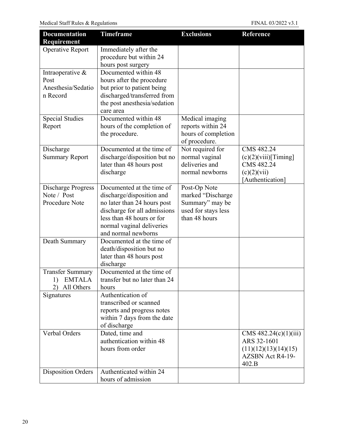| Requirement<br>Operative Report<br>Immediately after the<br>procedure but within 24<br>hours post surgery<br>Documented within 48<br>Intraoperative &<br>Post<br>hours after the procedure<br>Anesthesia/Sedatio<br>but prior to patient being<br>discharged/transferred from<br>n Record<br>the post anesthesia/sedation<br>care area<br>Documented within $48$<br><b>Special Studies</b><br>Medical imaging<br>hours of the completion of<br>reports within 24<br>Report<br>hours of completion<br>the procedure.<br>of procedure.<br>Documented at the time of<br>Not required for<br>CMS 482.24<br>Discharge<br>normal vaginal<br><b>Summary Report</b><br>discharge/disposition but no<br>(c)(2)(viii)[Timing]<br>deliveries and<br>CMS 482.24<br>later than 48 hours post<br>discharge<br>normal newborns<br>$(c)(2)(\overline{\text{vii}})$<br>[Authentication]<br>Documented at the time of<br><b>Discharge Progress</b><br>Post-Op Note<br>Note / Post<br>discharge/disposition and<br>marked "Discharge<br>Procedure Note<br>no later than 24 hours post<br>Summary" may be<br>discharge for all admissions<br>used for stays less<br>less than 48 hours or for<br>than 48 hours<br>normal vaginal deliveries<br>and normal newborns<br>Documented at the time of<br>Death Summary<br>death/disposition but no<br>later than 48 hours post<br>discharge<br>Documented at the time of<br><b>Transfer Summary</b><br>transfer but no later than 24<br><b>EMTALA</b><br>1)<br>All Others<br>hours<br>Authentication of<br>Signatures<br>transcribed or scanned<br>reports and progress notes<br>within 7 days from the date<br>of discharge<br>Verbal Orders<br>Dated, time and<br>CMS $482.24(c)(1)(iii)$<br>authentication within 48<br>ARS 32-1601<br>hours from order<br>(11)(12)(13)(14)(15)<br>AZSBN Act R4-19- | <b>Documentation</b> | <b>Timeframe</b> | <b>Exclusions</b> | <b>Reference</b> |
|------------------------------------------------------------------------------------------------------------------------------------------------------------------------------------------------------------------------------------------------------------------------------------------------------------------------------------------------------------------------------------------------------------------------------------------------------------------------------------------------------------------------------------------------------------------------------------------------------------------------------------------------------------------------------------------------------------------------------------------------------------------------------------------------------------------------------------------------------------------------------------------------------------------------------------------------------------------------------------------------------------------------------------------------------------------------------------------------------------------------------------------------------------------------------------------------------------------------------------------------------------------------------------------------------------------------------------------------------------------------------------------------------------------------------------------------------------------------------------------------------------------------------------------------------------------------------------------------------------------------------------------------------------------------------------------------------------------------------------------------------------------------------------------------------------------------------|----------------------|------------------|-------------------|------------------|
|                                                                                                                                                                                                                                                                                                                                                                                                                                                                                                                                                                                                                                                                                                                                                                                                                                                                                                                                                                                                                                                                                                                                                                                                                                                                                                                                                                                                                                                                                                                                                                                                                                                                                                                                                                                                                              |                      |                  |                   |                  |
|                                                                                                                                                                                                                                                                                                                                                                                                                                                                                                                                                                                                                                                                                                                                                                                                                                                                                                                                                                                                                                                                                                                                                                                                                                                                                                                                                                                                                                                                                                                                                                                                                                                                                                                                                                                                                              |                      |                  |                   |                  |
|                                                                                                                                                                                                                                                                                                                                                                                                                                                                                                                                                                                                                                                                                                                                                                                                                                                                                                                                                                                                                                                                                                                                                                                                                                                                                                                                                                                                                                                                                                                                                                                                                                                                                                                                                                                                                              |                      |                  |                   |                  |
|                                                                                                                                                                                                                                                                                                                                                                                                                                                                                                                                                                                                                                                                                                                                                                                                                                                                                                                                                                                                                                                                                                                                                                                                                                                                                                                                                                                                                                                                                                                                                                                                                                                                                                                                                                                                                              |                      |                  |                   |                  |
|                                                                                                                                                                                                                                                                                                                                                                                                                                                                                                                                                                                                                                                                                                                                                                                                                                                                                                                                                                                                                                                                                                                                                                                                                                                                                                                                                                                                                                                                                                                                                                                                                                                                                                                                                                                                                              |                      |                  |                   |                  |
|                                                                                                                                                                                                                                                                                                                                                                                                                                                                                                                                                                                                                                                                                                                                                                                                                                                                                                                                                                                                                                                                                                                                                                                                                                                                                                                                                                                                                                                                                                                                                                                                                                                                                                                                                                                                                              |                      |                  |                   |                  |
|                                                                                                                                                                                                                                                                                                                                                                                                                                                                                                                                                                                                                                                                                                                                                                                                                                                                                                                                                                                                                                                                                                                                                                                                                                                                                                                                                                                                                                                                                                                                                                                                                                                                                                                                                                                                                              |                      |                  |                   |                  |
|                                                                                                                                                                                                                                                                                                                                                                                                                                                                                                                                                                                                                                                                                                                                                                                                                                                                                                                                                                                                                                                                                                                                                                                                                                                                                                                                                                                                                                                                                                                                                                                                                                                                                                                                                                                                                              |                      |                  |                   |                  |
|                                                                                                                                                                                                                                                                                                                                                                                                                                                                                                                                                                                                                                                                                                                                                                                                                                                                                                                                                                                                                                                                                                                                                                                                                                                                                                                                                                                                                                                                                                                                                                                                                                                                                                                                                                                                                              |                      |                  |                   |                  |
|                                                                                                                                                                                                                                                                                                                                                                                                                                                                                                                                                                                                                                                                                                                                                                                                                                                                                                                                                                                                                                                                                                                                                                                                                                                                                                                                                                                                                                                                                                                                                                                                                                                                                                                                                                                                                              |                      |                  |                   |                  |
|                                                                                                                                                                                                                                                                                                                                                                                                                                                                                                                                                                                                                                                                                                                                                                                                                                                                                                                                                                                                                                                                                                                                                                                                                                                                                                                                                                                                                                                                                                                                                                                                                                                                                                                                                                                                                              |                      |                  |                   |                  |
|                                                                                                                                                                                                                                                                                                                                                                                                                                                                                                                                                                                                                                                                                                                                                                                                                                                                                                                                                                                                                                                                                                                                                                                                                                                                                                                                                                                                                                                                                                                                                                                                                                                                                                                                                                                                                              |                      |                  |                   |                  |
|                                                                                                                                                                                                                                                                                                                                                                                                                                                                                                                                                                                                                                                                                                                                                                                                                                                                                                                                                                                                                                                                                                                                                                                                                                                                                                                                                                                                                                                                                                                                                                                                                                                                                                                                                                                                                              |                      |                  |                   |                  |
|                                                                                                                                                                                                                                                                                                                                                                                                                                                                                                                                                                                                                                                                                                                                                                                                                                                                                                                                                                                                                                                                                                                                                                                                                                                                                                                                                                                                                                                                                                                                                                                                                                                                                                                                                                                                                              |                      |                  |                   |                  |
|                                                                                                                                                                                                                                                                                                                                                                                                                                                                                                                                                                                                                                                                                                                                                                                                                                                                                                                                                                                                                                                                                                                                                                                                                                                                                                                                                                                                                                                                                                                                                                                                                                                                                                                                                                                                                              |                      |                  |                   |                  |
|                                                                                                                                                                                                                                                                                                                                                                                                                                                                                                                                                                                                                                                                                                                                                                                                                                                                                                                                                                                                                                                                                                                                                                                                                                                                                                                                                                                                                                                                                                                                                                                                                                                                                                                                                                                                                              |                      |                  |                   |                  |
|                                                                                                                                                                                                                                                                                                                                                                                                                                                                                                                                                                                                                                                                                                                                                                                                                                                                                                                                                                                                                                                                                                                                                                                                                                                                                                                                                                                                                                                                                                                                                                                                                                                                                                                                                                                                                              |                      |                  |                   |                  |
|                                                                                                                                                                                                                                                                                                                                                                                                                                                                                                                                                                                                                                                                                                                                                                                                                                                                                                                                                                                                                                                                                                                                                                                                                                                                                                                                                                                                                                                                                                                                                                                                                                                                                                                                                                                                                              |                      |                  |                   |                  |
|                                                                                                                                                                                                                                                                                                                                                                                                                                                                                                                                                                                                                                                                                                                                                                                                                                                                                                                                                                                                                                                                                                                                                                                                                                                                                                                                                                                                                                                                                                                                                                                                                                                                                                                                                                                                                              |                      |                  |                   |                  |
|                                                                                                                                                                                                                                                                                                                                                                                                                                                                                                                                                                                                                                                                                                                                                                                                                                                                                                                                                                                                                                                                                                                                                                                                                                                                                                                                                                                                                                                                                                                                                                                                                                                                                                                                                                                                                              |                      |                  |                   |                  |
|                                                                                                                                                                                                                                                                                                                                                                                                                                                                                                                                                                                                                                                                                                                                                                                                                                                                                                                                                                                                                                                                                                                                                                                                                                                                                                                                                                                                                                                                                                                                                                                                                                                                                                                                                                                                                              |                      |                  |                   |                  |
|                                                                                                                                                                                                                                                                                                                                                                                                                                                                                                                                                                                                                                                                                                                                                                                                                                                                                                                                                                                                                                                                                                                                                                                                                                                                                                                                                                                                                                                                                                                                                                                                                                                                                                                                                                                                                              |                      |                  |                   |                  |
|                                                                                                                                                                                                                                                                                                                                                                                                                                                                                                                                                                                                                                                                                                                                                                                                                                                                                                                                                                                                                                                                                                                                                                                                                                                                                                                                                                                                                                                                                                                                                                                                                                                                                                                                                                                                                              |                      |                  |                   |                  |
|                                                                                                                                                                                                                                                                                                                                                                                                                                                                                                                                                                                                                                                                                                                                                                                                                                                                                                                                                                                                                                                                                                                                                                                                                                                                                                                                                                                                                                                                                                                                                                                                                                                                                                                                                                                                                              |                      |                  |                   |                  |
|                                                                                                                                                                                                                                                                                                                                                                                                                                                                                                                                                                                                                                                                                                                                                                                                                                                                                                                                                                                                                                                                                                                                                                                                                                                                                                                                                                                                                                                                                                                                                                                                                                                                                                                                                                                                                              |                      |                  |                   |                  |
|                                                                                                                                                                                                                                                                                                                                                                                                                                                                                                                                                                                                                                                                                                                                                                                                                                                                                                                                                                                                                                                                                                                                                                                                                                                                                                                                                                                                                                                                                                                                                                                                                                                                                                                                                                                                                              |                      |                  |                   |                  |
|                                                                                                                                                                                                                                                                                                                                                                                                                                                                                                                                                                                                                                                                                                                                                                                                                                                                                                                                                                                                                                                                                                                                                                                                                                                                                                                                                                                                                                                                                                                                                                                                                                                                                                                                                                                                                              |                      |                  |                   |                  |
|                                                                                                                                                                                                                                                                                                                                                                                                                                                                                                                                                                                                                                                                                                                                                                                                                                                                                                                                                                                                                                                                                                                                                                                                                                                                                                                                                                                                                                                                                                                                                                                                                                                                                                                                                                                                                              |                      |                  |                   |                  |
|                                                                                                                                                                                                                                                                                                                                                                                                                                                                                                                                                                                                                                                                                                                                                                                                                                                                                                                                                                                                                                                                                                                                                                                                                                                                                                                                                                                                                                                                                                                                                                                                                                                                                                                                                                                                                              |                      |                  |                   |                  |
|                                                                                                                                                                                                                                                                                                                                                                                                                                                                                                                                                                                                                                                                                                                                                                                                                                                                                                                                                                                                                                                                                                                                                                                                                                                                                                                                                                                                                                                                                                                                                                                                                                                                                                                                                                                                                              |                      |                  |                   |                  |
|                                                                                                                                                                                                                                                                                                                                                                                                                                                                                                                                                                                                                                                                                                                                                                                                                                                                                                                                                                                                                                                                                                                                                                                                                                                                                                                                                                                                                                                                                                                                                                                                                                                                                                                                                                                                                              |                      |                  |                   |                  |
|                                                                                                                                                                                                                                                                                                                                                                                                                                                                                                                                                                                                                                                                                                                                                                                                                                                                                                                                                                                                                                                                                                                                                                                                                                                                                                                                                                                                                                                                                                                                                                                                                                                                                                                                                                                                                              |                      |                  |                   |                  |
|                                                                                                                                                                                                                                                                                                                                                                                                                                                                                                                                                                                                                                                                                                                                                                                                                                                                                                                                                                                                                                                                                                                                                                                                                                                                                                                                                                                                                                                                                                                                                                                                                                                                                                                                                                                                                              |                      |                  |                   |                  |
|                                                                                                                                                                                                                                                                                                                                                                                                                                                                                                                                                                                                                                                                                                                                                                                                                                                                                                                                                                                                                                                                                                                                                                                                                                                                                                                                                                                                                                                                                                                                                                                                                                                                                                                                                                                                                              |                      |                  |                   |                  |
|                                                                                                                                                                                                                                                                                                                                                                                                                                                                                                                                                                                                                                                                                                                                                                                                                                                                                                                                                                                                                                                                                                                                                                                                                                                                                                                                                                                                                                                                                                                                                                                                                                                                                                                                                                                                                              |                      |                  |                   |                  |
|                                                                                                                                                                                                                                                                                                                                                                                                                                                                                                                                                                                                                                                                                                                                                                                                                                                                                                                                                                                                                                                                                                                                                                                                                                                                                                                                                                                                                                                                                                                                                                                                                                                                                                                                                                                                                              |                      |                  |                   |                  |
|                                                                                                                                                                                                                                                                                                                                                                                                                                                                                                                                                                                                                                                                                                                                                                                                                                                                                                                                                                                                                                                                                                                                                                                                                                                                                                                                                                                                                                                                                                                                                                                                                                                                                                                                                                                                                              |                      |                  |                   |                  |
|                                                                                                                                                                                                                                                                                                                                                                                                                                                                                                                                                                                                                                                                                                                                                                                                                                                                                                                                                                                                                                                                                                                                                                                                                                                                                                                                                                                                                                                                                                                                                                                                                                                                                                                                                                                                                              |                      |                  |                   |                  |
|                                                                                                                                                                                                                                                                                                                                                                                                                                                                                                                                                                                                                                                                                                                                                                                                                                                                                                                                                                                                                                                                                                                                                                                                                                                                                                                                                                                                                                                                                                                                                                                                                                                                                                                                                                                                                              |                      |                  |                   |                  |
|                                                                                                                                                                                                                                                                                                                                                                                                                                                                                                                                                                                                                                                                                                                                                                                                                                                                                                                                                                                                                                                                                                                                                                                                                                                                                                                                                                                                                                                                                                                                                                                                                                                                                                                                                                                                                              |                      |                  |                   |                  |
|                                                                                                                                                                                                                                                                                                                                                                                                                                                                                                                                                                                                                                                                                                                                                                                                                                                                                                                                                                                                                                                                                                                                                                                                                                                                                                                                                                                                                                                                                                                                                                                                                                                                                                                                                                                                                              |                      |                  |                   |                  |
|                                                                                                                                                                                                                                                                                                                                                                                                                                                                                                                                                                                                                                                                                                                                                                                                                                                                                                                                                                                                                                                                                                                                                                                                                                                                                                                                                                                                                                                                                                                                                                                                                                                                                                                                                                                                                              |                      |                  |                   | 402.B            |
| Authenticated within 24<br><b>Disposition Orders</b>                                                                                                                                                                                                                                                                                                                                                                                                                                                                                                                                                                                                                                                                                                                                                                                                                                                                                                                                                                                                                                                                                                                                                                                                                                                                                                                                                                                                                                                                                                                                                                                                                                                                                                                                                                         |                      |                  |                   |                  |
| hours of admission                                                                                                                                                                                                                                                                                                                                                                                                                                                                                                                                                                                                                                                                                                                                                                                                                                                                                                                                                                                                                                                                                                                                                                                                                                                                                                                                                                                                                                                                                                                                                                                                                                                                                                                                                                                                           |                      |                  |                   |                  |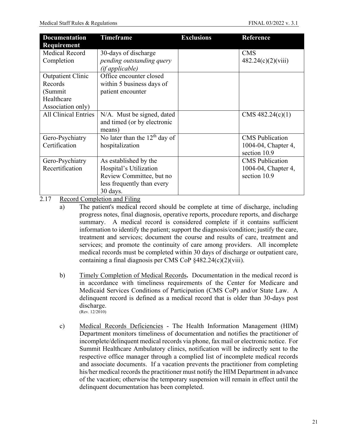| <b>Documentation</b><br>Requirement | <b>Timeframe</b>                             | <b>Exclusions</b> | <b>Reference</b>       |
|-------------------------------------|----------------------------------------------|-------------------|------------------------|
| <b>Medical Record</b>               | 30-days of discharge                         |                   | <b>CMS</b>             |
| Completion                          | pending outstanding query<br>(if applicable) |                   | 482.24(c)(2)(viii)     |
| <b>Outpatient Clinic</b>            | Office encounter closed                      |                   |                        |
| Records                             | within 5 business days of                    |                   |                        |
| (Summit                             | patient encounter                            |                   |                        |
| Healthcare                          |                                              |                   |                        |
| Association only)                   |                                              |                   |                        |
| <b>All Clinical Entries</b>         | N/A. Must be signed, dated                   |                   | CMS 482.24(c)(1)       |
|                                     | and timed (or by electronic<br>means)        |                   |                        |
| Gero-Psychiatry                     | No later than the 12 <sup>th</sup> day of    |                   | <b>CMS</b> Publication |
| Certification                       | hospitalization                              |                   | 1004-04, Chapter 4,    |
|                                     |                                              |                   | section 10.9           |
| Gero-Psychiatry                     | As established by the                        |                   | <b>CMS</b> Publication |
| Recertification                     | Hospital's Utilization                       |                   | 1004-04, Chapter 4,    |
|                                     | Review Committee, but no                     |                   | section 10.9           |
|                                     | less frequently than every                   |                   |                        |
|                                     | 30 days.                                     |                   |                        |

<span id="page-21-0"></span>2.17 Record Completion and Filing

- b) Timely Completion of Medical Records**.** Documentation in the medical record is in accordance with timeliness requirements of the Center for Medicare and Medicaid Services Conditions of Participation (CMS CoP) and/or State Law. A delinquent record is defined as a medical record that is older than 30-days post discharge. (Rev. 12/2010)
- c) Medical Records Deficiencies The Health Information Management (HIM) Department monitors timeliness of documentation and notifies the practitioner of incomplete/delinquent medical records via phone, fax mail or electronic notice. For Summit Healthcare Ambulatory clinics, notification will be indirectly sent to the respective office manager through a complied list of incomplete medical records and associate documents. If a vacation prevents the practitioner from completing his/her medical records the practitioner must notify the HIM Department in advance of the vacation; otherwise the temporary suspension will remain in effect until the delinquent documentation has been completed.

a) The patient's medical record should be complete at time of discharge, including progress notes, final diagnosis, operative reports, procedure reports, and discharge summary. A medical record is considered complete if it contains sufficient information to identify the patient; support the diagnosis/condition; justify the care, treatment and services; document the course and results of care, treatment and services; and promote the continuity of care among providers. All incomplete medical records must be completed within 30 days of discharge or outpatient care, containing a final diagnosis per CMS CoP §482.24(c)(2)(viii).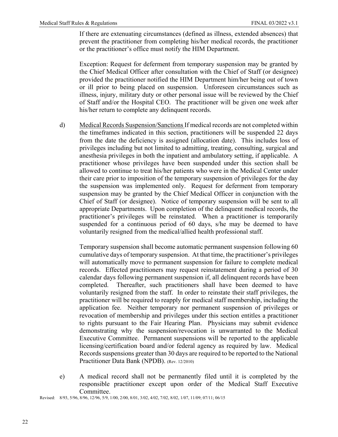If there are extenuating circumstances (defined as illness, extended absences) that prevent the practitioner from completing his/her medical records, the practitioner or the practitioner's office must notify the HIM Department.

Exception: Request for deferment from temporary suspension may be granted by the Chief Medical Officer after consultation with the Chief of Staff (or designee) provided the practitioner notified the HIM Department him/her being out of town or ill prior to being placed on suspension. Unforeseen circumstances such as illness, injury, military duty or other personal issue will be reviewed by the Chief of Staff and/or the Hospital CEO. The practitioner will be given one week after his/her return to complete any delinquent records.

d) Medical Records Suspension/Sanctions If medical records are not completed within the timeframes indicated in this section, practitioners will be suspended 22 days from the date the deficiency is assigned (allocation date). This includes loss of privileges including but not limited to admitting, treating, consulting, surgical and anesthesia privileges in both the inpatient and ambulatory setting, if applicable. A practitioner whose privileges have been suspended under this section shall be allowed to continue to treat his/her patients who were in the Medical Center under their care prior to imposition of the temporary suspension of privileges for the day the suspension was implemented only. Request for deferment from temporary suspension may be granted by the Chief Medical Officer in conjunction with the Chief of Staff (or designee). Notice of temporary suspension will be sent to all appropriate Departments. Upon completion of the delinquent medical records, the practitioner's privileges will be reinstated. When a practitioner is temporarily suspended for a continuous period of 60 days, s/he may be deemed to have voluntarily resigned from the medical/allied health professional staff.

Temporary suspension shall become automatic permanent suspension following 60 cumulative days of temporary suspension. At that time, the practitioner's privileges will automatically move to permanent suspension for failure to complete medical records. Effected practitioners may request reinstatement during a period of 30 calendar days following permanent suspension if, all delinquent records have been completed. Thereafter, such practitioners shall have been deemed to have voluntarily resigned from the staff. In order to reinstate their staff privileges, the practitioner will be required to reapply for medical staff membership, including the application fee. Neither temporary nor permanent suspension of privileges or revocation of membership and privileges under this section entitles a practitioner to rights pursuant to the Fair Hearing Plan. Physicians may submit evidence demonstrating why the suspension/revocation is unwarranted to the Medical Executive Committee. Permanent suspensions will be reported to the applicable licensing/certification board and/or federal agency as required by law. Medical Records suspensions greater than 30 days are required to be reported to the National Practitioner Data Bank (NPDB). (Rev. 12/2010)

e) A medical record shall not be permanently filed until it is completed by the responsible practitioner except upon order of the Medical Staff Executive Committee.

Revised: 8/93, 5/96, 8/96, 12/96, 5/9, 1/00, 2/00, 8/01, 3/02, 4/02, 7/02, 8/02, 1/07, 11/09; 07/11; 06/15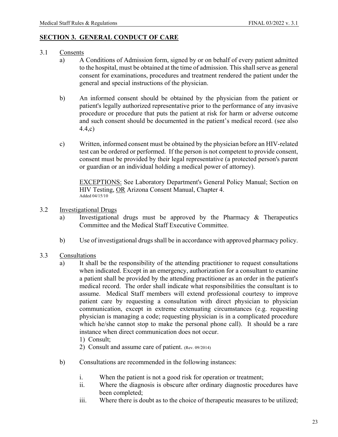#### <span id="page-23-0"></span>**SECTION 3. GENERAL CONDUCT OF CARE**

- <span id="page-23-1"></span>3.1 Consents
	- a) A Conditions of Admission form, signed by or on behalf of every patient admitted to the hospital, must be obtained at the time of admission. This shall serve as general consent for examinations, procedures and treatment rendered the patient under the general and special instructions of the physician.
	- b) An informed consent should be obtained by the physician from the patient or patient's legally authorized representative prior to the performance of any invasive procedure or procedure that puts the patient at risk for harm or adverse outcome and such consent should be documented in the patient's medical record. (see also 4.4,c)
	- c) Written, informed consent must be obtained by the physician before an HIV-related test can be ordered or performed. If the person is not competent to provide consent, consent must be provided by their legal representative (a protected person's parent or guardian or an individual holding a medical power of attorney).

EXCEPTIONS: See Laboratory Department's General Policy Manual; Section on HIV Testing, OR Arizona Consent Manual, Chapter 4. Added 04/15/10

- <span id="page-23-2"></span>3.2 Investigational Drugs
	- a) Investigational drugs must be approved by the Pharmacy & Therapeutics Committee and the Medical Staff Executive Committee.
	- b) Use of investigational drugs shall be in accordance with approved pharmacy policy.
- <span id="page-23-3"></span>3.3 Consultations
	- a) It shall be the responsibility of the attending practitioner to request consultations when indicated. Except in an emergency, authorization for a consultant to examine a patient shall be provided by the attending practitioner as an order in the patient's medical record. The order shall indicate what responsibilities the consultant is to assume. Medical Staff members will extend professional courtesy to improve patient care by requesting a consultation with direct physician to physician communication, except in extreme extenuating circumstances (e.g. requesting physician is managing a code; requesting physician is in a complicated procedure which he/she cannot stop to make the personal phone call). It should be a rare instance when direct communication does not occur.
		- 1) Consult;
		- 2) Consult and assume care of patient. (Rev. 09/2014)
	- b) Consultations are recommended in the following instances:
		- i. When the patient is not a good risk for operation or treatment;
		- ii. Where the diagnosis is obscure after ordinary diagnostic procedures have been completed;
		- iii. Where there is doubt as to the choice of therapeutic measures to be utilized;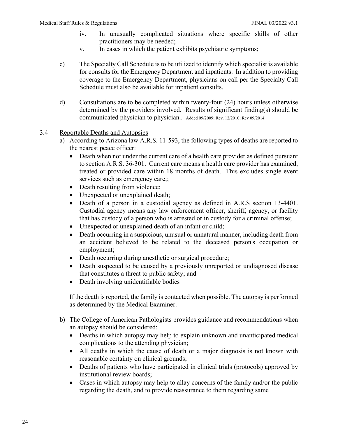- iv. In unusually complicated situations where specific skills of other practitioners may be needed;
- v. In cases in which the patient exhibits psychiatric symptoms;
- c) The Specialty Call Schedule is to be utilized to identify which specialist is available for consults for the Emergency Department and inpatients. In addition to providing coverage to the Emergency Department, physicians on call per the Specialty Call Schedule must also be available for inpatient consults.
- d) Consultations are to be completed within twenty-four (24) hours unless otherwise determined by the providers involved. Results of significant finding(s) should be communicated physician to physician.. Added 09/2009; Rev. 12/2010; Rev 09/2014
- <span id="page-24-0"></span>3.4 Reportable Deaths and Autopsies
	- a) According to Arizona law A.R.S. 11-593, the following types of deaths are reported to the nearest peace officer:
		- Death when not under the current care of a health care provider as defined pursuant to section A.R.S. 36-301. Current care means a health care provider has examined, treated or provided care within 18 months of death. This excludes single event services such as emergency care;;
		- Death resulting from violence;
		- Unexpected or unexplained death;
		- Death of a person in a custodial agency as defined in A.R.S section 13-4401. Custodial agency means any law enforcement officer, sheriff, agency, or facility that has custody of a person who is arrested or in custody for a criminal offense;
		- Unexpected or unexplained death of an infant or child;
		- Death occurring in a suspicious, unusual or unnatural manner, including death from an accident believed to be related to the deceased person's occupation or employment;
		- Death occurring during anesthetic or surgical procedure;
		- Death suspected to be caused by a previously unreported or undiagnosed disease that constitutes a threat to public safety; and
		- Death involving unidentifiable bodies

If the death is reported, the family is contacted when possible. The autopsy is performed as determined by the Medical Examiner.

- b) The College of American Pathologists provides guidance and recommendations when an autopsy should be considered:
	- Deaths in which autopsy may help to explain unknown and unanticipated medical complications to the attending physician;
	- All deaths in which the cause of death or a major diagnosis is not known with reasonable certainty on clinical grounds;
	- Deaths of patients who have participated in clinical trials (protocols) approved by institutional review boards;
	- Cases in which autopsy may help to allay concerns of the family and/or the public regarding the death, and to provide reassurance to them regarding same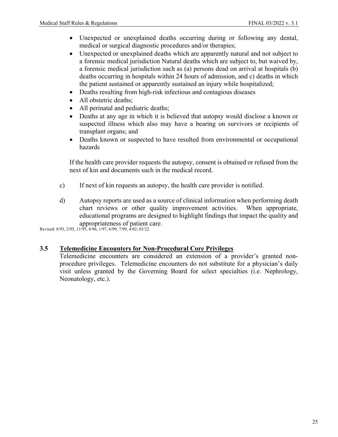- Unexpected or unexplained deaths occurring during or following any dental, medical or surgical diagnostic procedures and/or therapies;
- Unexpected or unexplained deaths which are apparently natural and not subject to a forensic medical jurisdiction Natural deaths which are subject to, but waived by, a forensic medical jurisdiction such as (a) persons dead on arrival at hospitals (b) deaths occurring in hospitals within 24 hours of admission, and c) deaths in which the patient sustained or apparently sustained an injury while hospitalized;
- Deaths resulting from high-risk infectious and contagious diseases
- All obstetric deaths;
- All perinatal and pediatric deaths;
- Deaths at any age in which it is believed that autopsy would disclose a known or suspected illness which also may have a bearing on survivors or recipients of transplant organs; and
- Deaths known or suspected to have resulted from environmental or occupational hazards

If the health care provider requests the autopsy, consent is obtained or refused from the next of kin and documents such in the medical record.

- c) If next of kin requests an autopsy, the health care provider is notified.
- d) Autopsy reports are used as a source of clinical information when performing death chart reviews or other quality improvement activities. When appropriate, educational programs are designed to highlight findings that impact the quality and appropriateness of patient care.

Revised: 8/93, 2/95, 11/95, 8/96, 1/97, 6/99, 7/99, 4/02; 03/22

# <span id="page-25-0"></span>**3.5 Telemedicine Encounters for Non-Procedural Core Privileges**

Telemedicine encounters are considered an extension of a provider's granted nonprocedure privileges. Telemedicine encounters do not substitute for a physician's daily visit unless granted by the Governing Board for select specialties (i.e. Nephrology, Neonatology, etc.).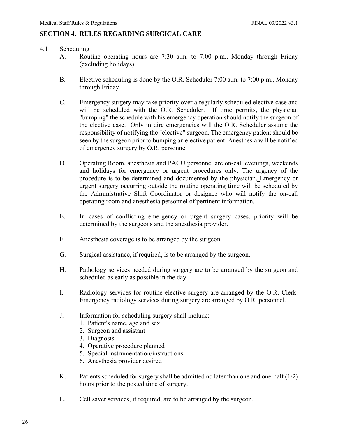# <span id="page-26-0"></span>**SECTION 4. RULES REGARDING SURGICAL CARE**

# <span id="page-26-1"></span>4.1 Scheduling

- A. Routine operating hours are 7:30 a.m. to 7:00 p.m., Monday through Friday (excluding holidays).
- B. Elective scheduling is done by the O.R. Scheduler 7:00 a.m. to 7:00 p.m., Monday through Friday.
- C. Emergency surgery may take priority over a regularly scheduled elective case and will be scheduled with the O.R. Scheduler. If time permits, the physician "bumping" the schedule with his emergency operation should notify the surgeon of the elective case. Only in dire emergencies will the O.R. Scheduler assume the responsibility of notifying the "elective" surgeon. The emergency patient should be seen by the surgeon prior to bumping an elective patient. Anesthesia will be notified of emergency surgery by O.R. personnel
- D. Operating Room, anesthesia and PACU personnel are on-call evenings, weekends and holidays for emergency or urgent procedures only. The urgency of the procedure is to be determined and documented by the physician. Emergency or urgent surgery occurring outside the routine operating time will be scheduled by the Administrative Shift Coordinator or designee who will notify the on-call operating room and anesthesia personnel of pertinent information.
- E. In cases of conflicting emergency or urgent surgery cases, priority will be determined by the surgeons and the anesthesia provider.
- F. Anesthesia coverage is to be arranged by the surgeon.
- G. Surgical assistance, if required, is to be arranged by the surgeon.
- H. Pathology services needed during surgery are to be arranged by the surgeon and scheduled as early as possible in the day.
- I. Radiology services for routine elective surgery are arranged by the O.R. Clerk. Emergency radiology services during surgery are arranged by O.R. personnel.
- J. Information for scheduling surgery shall include:
	- 1. Patient's name, age and sex
	- 2. Surgeon and assistant
	- 3. Diagnosis
	- 4. Operative procedure planned
	- 5. Special instrumentation/instructions
	- 6. Anesthesia provider desired
- K. Patients scheduled for surgery shall be admitted no later than one and one-half  $(1/2)$ hours prior to the posted time of surgery.
- L. Cell saver services, if required, are to be arranged by the surgeon.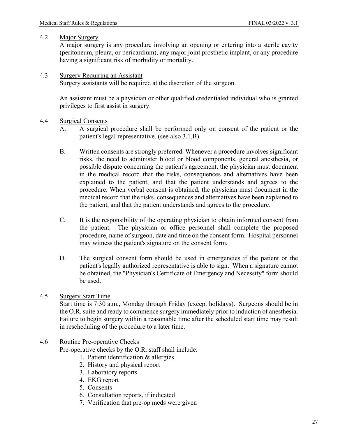### <span id="page-27-0"></span>4.2 Major Surgery

A major surgery is any procedure involving an opening or entering into a sterile cavity (peritoneum, pleura, or pericardium), any major joint prosthetic implant, or any procedure having a significant risk of morbidity or mortality.

### <span id="page-27-1"></span>4.3 Surgery Requiring an Assistant

Surgery assistants will be required at the discretion of the surgeon.

An assistant must be a physician or other qualified credentialed individual who is granted privileges to first assist in surgery.

### <span id="page-27-2"></span>4.4 Surgical Consents

- A. A surgical procedure shall be performed only on consent of the patient or the patient's legal representative. (see also 3.1,B)
- B. Written consents are strongly preferred. Whenever a procedure involves significant risks, the need to administer blood or blood components, general anesthesia, or possible dispute concerning the patient's agreement, the physician must document in the medical record that the risks, consequences and alternatives have been explained to the patient, and that the patient understands and agrees to the procedure. When verbal consent is obtained, the physician must document in the medical record that the risks, consequences and alternatives have been explained to the patient, and that the patient understands and agrees to the procedure.
- C. It is the responsibility of the operating physician to obtain informed consent from the patient. The physician or office personnel shall complete the proposed procedure, name of surgeon, date and time on the consent form. Hospital personnel may witness the patient's signature on the consent form.
- D. The surgical consent form should be used in emergencies if the patient or the patient's legally authorized representative is able to sign. When a signature cannot be obtained, the "Physician's Certificate of Emergency and Necessity" form should be used.
- <span id="page-27-3"></span>4.5 Surgery Start Time

Start time is 7:30 a.m., Monday through Friday (except holidays). Surgeons should be in the O.R. suite and ready to commence surgery immediately prior to induction of anesthesia. Failure to begin surgery within a reasonable time after the scheduled start time may result in rescheduling of the procedure to a later time.

# <span id="page-27-4"></span>4.6 Routine Pre-operative Checks

Pre-operative checks by the O.R. staff shall include:

- 1. Patient identification & allergies
- 2. History and physical report
- 3. Laboratory reports
- 4. EKG report
- 5. Consents
- 6. Consultation reports, if indicated
- 7. Verification that pre-op meds were given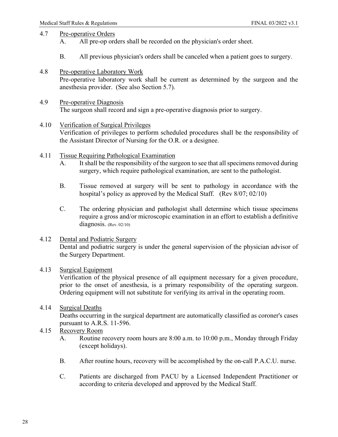# <span id="page-28-0"></span>4.7 Pre-operative Orders

- A. All pre-op orders shall be recorded on the physician's order sheet.
- B. All previous physician's orders shall be canceled when a patient goes to surgery.
- <span id="page-28-1"></span>4.8 Pre-operative Laboratory Work

Pre-operative laboratory work shall be current as determined by the surgeon and the anesthesia provider. (See also Section 5.7).

- <span id="page-28-2"></span>4.9 Pre-operative Diagnosis The surgeon shall record and sign a pre-operative diagnosis prior to surgery.
- <span id="page-28-3"></span>4.10 Verification of Surgical Privileges Verification of privileges to perform scheduled procedures shall be the responsibility of the Assistant Director of Nursing for the O.R. or a designee.
- <span id="page-28-4"></span>4.11 Tissue Requiring Pathological Examination
	- A. It shall be the responsibility of the surgeon to see that all specimens removed during surgery, which require pathological examination, are sent to the pathologist.
	- B. Tissue removed at surgery will be sent to pathology in accordance with the hospital's policy as approved by the Medical Staff. (Rev 8/07; 02/10)
	- C. The ordering physician and pathologist shall determine which tissue specimens require a gross and/or microscopic examination in an effort to establish a definitive diagnosis. (Rev. 02/10)

# <span id="page-28-5"></span>4.12 Dental and Podiatric Surgery

Dental and podiatric surgery is under the general supervision of the physician advisor of the Surgery Department.

# <span id="page-28-6"></span>4.13 Surgical Equipment

Verification of the physical presence of all equipment necessary for a given procedure, prior to the onset of anesthesia, is a primary responsibility of the operating surgeon. Ordering equipment will not substitute for verifying its arrival in the operating room.

<span id="page-28-7"></span>4.14 Surgical Deaths

Deaths occurring in the surgical department are automatically classified as coroner's cases pursuant to A.R.S. 11-596.

- <span id="page-28-8"></span>4.15 Recovery Room
	- A. Routine recovery room hours are 8:00 a.m. to 10:00 p.m., Monday through Friday (except holidays).
	- B. After routine hours, recovery will be accomplished by the on-call P.A.C.U. nurse.
	- C. Patients are discharged from PACU by a Licensed Independent Practitioner or according to criteria developed and approved by the Medical Staff.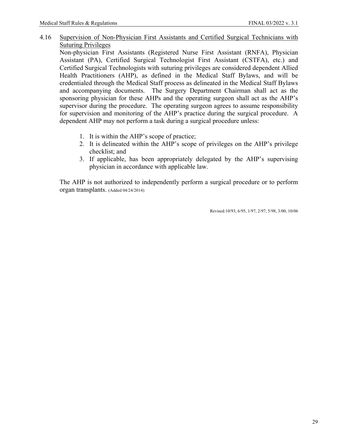4.16 Supervision of Non-Physician First Assistants and Certified Surgical Technicians with Suturing Privileges

Non-physician First Assistants (Registered Nurse First Assistant (RNFA), Physician Assistant (PA), Certified Surgical Technologist First Assistant (CSTFA), etc.) and Certified Surgical Technologists with suturing privileges are considered dependent Allied Health Practitioners (AHP), as defined in the Medical Staff Bylaws, and will be credentialed through the Medical Staff process as delineated in the Medical Staff Bylaws and accompanying documents. The Surgery Department Chairman shall act as the sponsoring physician for these AHPs and the operating surgeon shall act as the AHP's supervisor during the procedure. The operating surgeon agrees to assume responsibility for supervision and monitoring of the AHP's practice during the surgical procedure. A dependent AHP may not perform a task during a surgical procedure unless:

- 1. It is within the AHP's scope of practice;
- 2. It is delineated within the AHP's scope of privileges on the AHP's privilege checklist; and
- 3. If applicable, has been appropriately delegated by the AHP's supervising physician in accordance with applicable law.

The AHP is not authorized to independently perform a surgical procedure or to perform organ transplants. (Added 04/24/2014)

Revised:10/93, 6/95, 1/97, 2/97, 5/98, 3/00, 10/06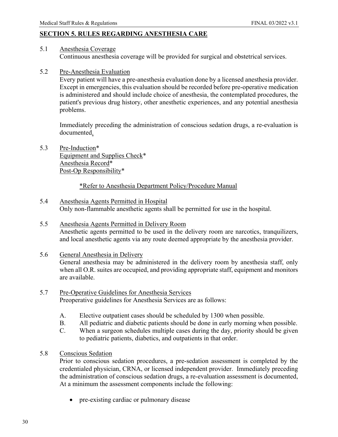# <span id="page-30-0"></span>**SECTION 5. RULES REGARDING ANESTHESIA CARE**

- <span id="page-30-1"></span>5.1 Anesthesia Coverage Continuous anesthesia coverage will be provided for surgical and obstetrical services.
- <span id="page-30-2"></span>5.2 Pre-Anesthesia Evaluation

Every patient will have a pre-anesthesia evaluation done by a licensed anesthesia provider. Except in emergencies, this evaluation should be recorded before pre-operative medication is administered and should include choice of anesthesia, the contemplated procedures, the patient's previous drug history, other anesthetic experiences, and any potential anesthesia problems.

Immediately preceding the administration of conscious sedation drugs, a re-evaluation is documented.

<span id="page-30-3"></span>5.3 Pre-Induction\* Equipment and Supplies Check\* Anesthesia Record\* Post-Op Responsibility\*

### \*Refer to Anesthesia Department Policy/Procedure Manual

- <span id="page-30-4"></span>5.4 Anesthesia Agents Permitted in Hospital Only non-flammable anesthetic agents shall be permitted for use in the hospital.
- <span id="page-30-5"></span>5.5 Anesthesia Agents Permitted in Delivery Room Anesthetic agents permitted to be used in the delivery room are narcotics, tranquilizers, and local anesthetic agents via any route deemed appropriate by the anesthesia provider.

#### <span id="page-30-6"></span>5.6 General Anesthesia in Delivery General anesthesia may be administered in the delivery room by anesthesia staff, only when all O.R. suites are occupied, and providing appropriate staff, equipment and monitors are available.

- <span id="page-30-7"></span>5.7 Pre-Operative Guidelines for Anesthesia Services Preoperative guidelines for Anesthesia Services are as follows:
	- A. Elective outpatient cases should be scheduled by 1300 when possible.
	- B. All pediatric and diabetic patients should be done in early morning when possible.
	- C. When a surgeon schedules multiple cases during the day, priority should be given to pediatric patients, diabetics, and outpatients in that order.
- <span id="page-30-8"></span>5.8 Conscious Sedation

Prior to conscious sedation procedures, a pre-sedation assessment is completed by the credentialed physician, CRNA, or licensed independent provider. Immediately preceding the administration of conscious sedation drugs, a re-evaluation assessment is documented, At a minimum the assessment components include the following:

• pre-existing cardiac or pulmonary disease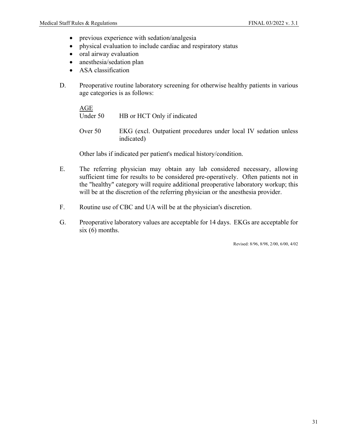- previous experience with sedation/analgesia
- physical evaluation to include cardiac and respiratory status
- oral airway evaluation
- anesthesia/sedation plan
- ASA classification
- D. Preoperative routine laboratory screening for otherwise healthy patients in various age categories is as follows:

AGE Under 50 HB or HCT Only if indicated Over 50 EKG (excl. Outpatient procedures under local IV sedation unless indicated)

Other labs if indicated per patient's medical history/condition.

- E. The referring physician may obtain any lab considered necessary, allowing sufficient time for results to be considered pre-operatively. Often patients not in the "healthy" category will require additional preoperative laboratory workup; this will be at the discretion of the referring physician or the anesthesia provider.
- F. Routine use of CBC and UA will be at the physician's discretion.
- G. Preoperative laboratory values are acceptable for 14 days. EKGs are acceptable for  $six(6)$  months.

Revised: 8/96, 8/98, 2/00, 6/00, 4/02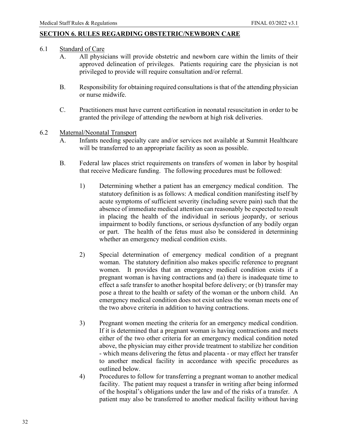# <span id="page-32-0"></span>**SECTION 6. RULES REGARDING OBSTETRIC/NEWBORN CARE**

### <span id="page-32-1"></span>6.1 Standard of Care

- A. All physicians will provide obstetric and newborn care within the limits of their approved delineation of privileges. Patients requiring care the physician is not privileged to provide will require consultation and/or referral.
- B. Responsibility for obtaining required consultations is that of the attending physician or nurse midwife.
- C. Practitioners must have current certification in neonatal resuscitation in order to be granted the privilege of attending the newborn at high risk deliveries.

### <span id="page-32-2"></span>6.2 Maternal/Neonatal Transport

- A. Infants needing specialty care and/or services not available at Summit Healthcare will be transferred to an appropriate facility as soon as possible.
- B. Federal law places strict requirements on transfers of women in labor by hospital that receive Medicare funding. The following procedures must be followed:
	- 1) Determining whether a patient has an emergency medical condition. The statutory definition is as follows: A medical condition manifesting itself by acute symptoms of sufficient severity (including severe pain) such that the absence of immediate medical attention can reasonably be expected to result in placing the health of the individual in serious jeopardy, or serious impairment to bodily functions, or serious dysfunction of any bodily organ or part. The health of the fetus must also be considered in determining whether an emergency medical condition exists.
	- 2) Special determination of emergency medical condition of a pregnant woman. The statutory definition also makes specific reference to pregnant women. It provides that an emergency medical condition exists if a pregnant woman is having contractions and (a) there is inadequate time to effect a safe transfer to another hospital before delivery; or (b) transfer may pose a threat to the health or safety of the woman or the unborn child. An emergency medical condition does not exist unless the woman meets one of the two above criteria in addition to having contractions.
	- 3) Pregnant women meeting the criteria for an emergency medical condition. If it is determined that a pregnant woman is having contractions and meets either of the two other criteria for an emergency medical condition noted above, the physician may either provide treatment to stabilize her condition - which means delivering the fetus and placenta - or may effect her transfer to another medical facility in accordance with specific procedures as outlined below.
	- 4) Procedures to follow for transferring a pregnant woman to another medical facility. The patient may request a transfer in writing after being informed of the hospital's obligations under the law and of the risks of a transfer. A patient may also be transferred to another medical facility without having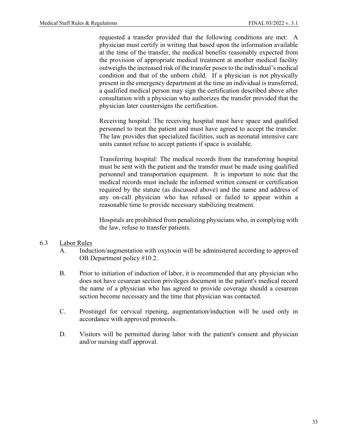requested a transfer provided that the following conditions are met: A physician must certify in writing that based upon the information available at the time of the transfer, the medical benefits reasonably expected from the provision of appropriate medical treatment at another medical facility outweighs the increased risk of the transfer poses to the individual's medical condition and that of the unborn child. If a physician is not physically present in the emergency department at the time an individual is transferred, a qualified medical person may sign the certification described above after consultation with a physician who authorizes the transfer provided that the physician later countersigns the certification.

Receiving hospital: The receiving hospital must have space and qualified personnel to treat the patient and must have agreed to accept the transfer. The law provides that specialized facilities, such as neonatal intensive care units cannot refuse to accept patients if space is available.

Transferring hospital: The medical records from the transferring hospital must be sent with the patient and the transfer must be made using qualified personnel and transportation equipment. It is important to note that the medical records must include the informed written consent or certification required by the statute (as discussed above) and the name and address of any on-call physician who has refused or failed to appear within a reasonable time to provide necessary stabilizing treatment.

Hospitals are prohibited from penalizing physicians who, in complying with the law, refuse to transfer patients.

#### <span id="page-33-0"></span>6.3 Labor Rules

- A. Induction/augmentation with oxytocin will be administered according to approved OB Department policy #10.2.
- B. Prior to initiation of induction of labor, it is recommended that any physician who does not have cesarean section privileges document in the patient's medical record the name of a physician who has agreed to provide coverage should a cesarean section become necessary and the time that physician was contacted.
- C. Prostingel for cervical ripening, augmentation/induction will be used only in accordance with approved protocols.
- D. Visitors will be permitted during labor with the patient's consent and physician and/or nursing staff approval.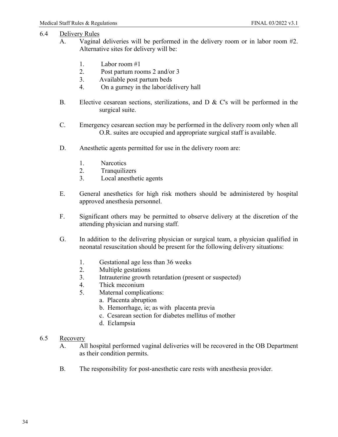# <span id="page-34-0"></span>6.4 Delivery Rules

- A. Vaginal deliveries will be performed in the delivery room or in labor room #2. Alternative sites for delivery will be:
	- 1. Labor room #1
	- 2. Post partum rooms 2 and/or 3
	- 3. Available post partum beds
	- 4. On a gurney in the labor/delivery hall
- B. Elective cesarean sections, sterilizations, and D & C's will be performed in the surgical suite.
- C. Emergency cesarean section may be performed in the delivery room only when all O.R. suites are occupied and appropriate surgical staff is available.
- D. Anesthetic agents permitted for use in the delivery room are:
	- 1. Narcotics
	- 2. Tranquilizers
	- 3. Local anesthetic agents
- E. General anesthetics for high risk mothers should be administered by hospital approved anesthesia personnel.
- F. Significant others may be permitted to observe delivery at the discretion of the attending physician and nursing staff.
- G. In addition to the delivering physician or surgical team, a physician qualified in neonatal resuscitation should be present for the following delivery situations:
	- 1. Gestational age less than 36 weeks
	- 2. Multiple gestations
	- 3. Intrauterine growth retardation (present or suspected)
	- 4. Thick meconium
	- 5. Maternal complications:
		- a. Placenta abruption
		- b. Hemorrhage, ie; as with placenta previa
		- c. Cesarean section for diabetes mellitus of mother
		- d. Eclampsia
- <span id="page-34-1"></span>6.5 Recovery
	- A. All hospital performed vaginal deliveries will be recovered in the OB Department as their condition permits.
	- B. The responsibility for post-anesthetic care rests with anesthesia provider.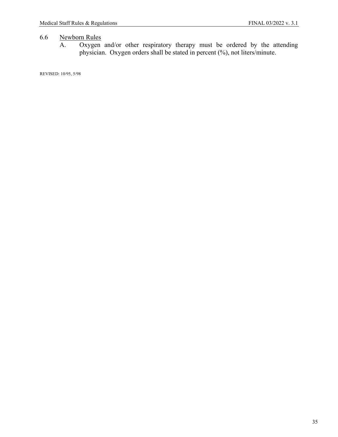# <span id="page-35-0"></span>6.6 Newborn Rules<br>A. Oxygen

A. Oxygen and/or other respiratory therapy must be ordered by the attending physician. Oxygen orders shall be stated in percent (%), not liters/minute.

REVISED: 10/95, 5/98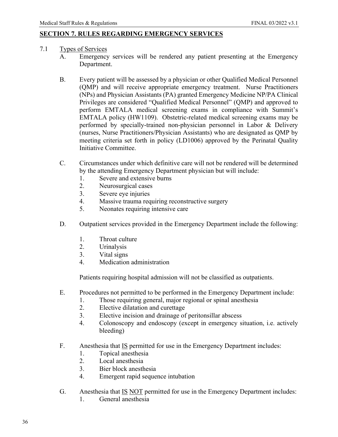# <span id="page-36-0"></span>**SECTION 7. RULES REGARDING EMERGENCY SERVICES**

- <span id="page-36-1"></span>7.1 Types of Services
	- A. Emergency services will be rendered any patient presenting at the Emergency Department.
	- B. Every patient will be assessed by a physician or other Qualified Medical Personnel (QMP) and will receive appropriate emergency treatment. Nurse Practitioners (NPs) and Physician Assistants (PA) granted Emergency Medicine NP/PA Clinical Privileges are considered "Qualified Medical Personnel" (QMP) and approved to perform EMTALA medical screening exams in compliance with Summit's EMTALA policy (HW1109). Obstetric-related medical screening exams may be performed by specially-trained non-physician personnel in Labor & Delivery (nurses, Nurse Practitioners/Physician Assistants) who are designated as QMP by meeting criteria set forth in policy (LD1006) approved by the Perinatal Quality Initiative Committee.
	- C. Circumstances under which definitive care will not be rendered will be determined by the attending Emergency Department physician but will include:
		- 1. Severe and extensive burns
		- 2. Neurosurgical cases
		- 3. Severe eye injuries
		- 4. Massive trauma requiring reconstructive surgery
		- 5. Neonates requiring intensive care
	- D. Outpatient services provided in the Emergency Department include the following:
		- 1. Throat culture
		- 2. Urinalysis
		- 3. Vital signs
		- 4. Medication administration

Patients requiring hospital admission will not be classified as outpatients.

- E. Procedures not permitted to be performed in the Emergency Department include:
	- 1. Those requiring general, major regional or spinal anesthesia
	- 2. Elective dilatation and curettage
	- 3. Elective incision and drainage of peritonsillar abscess
	- 4. Colonoscopy and endoscopy (except in emergency situation, i.e. actively bleeding)
- F. Anesthesia that IS permitted for use in the Emergency Department includes:
	- 1. Topical anesthesia
	- 2. Local anesthesia
	- 3. Bier block anesthesia
	- 4. Emergent rapid sequence intubation
- G. Anesthesia that IS NOT permitted for use in the Emergency Department includes:
	- 1. General anesthesia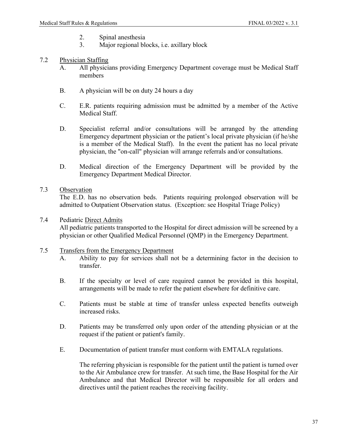- 2. Spinal anesthesia
- 3. Major regional blocks, i.e. axillary block
- <span id="page-37-0"></span>7.2 Physician Staffing
	- A. All physicians providing Emergency Department coverage must be Medical Staff members
	- B. A physician will be on duty 24 hours a day
	- C. E.R. patients requiring admission must be admitted by a member of the Active Medical Staff.
	- D. Specialist referral and/or consultations will be arranged by the attending Emergency department physician or the patient's local private physician (if he/she is a member of the Medical Staff). In the event the patient has no local private physician, the "on-call" physician will arrange referrals and/or consultations.
	- D. Medical direction of the Emergency Department will be provided by the Emergency Department Medical Director.
- <span id="page-37-1"></span>7.3 Observation

The E.D. has no observation beds. Patients requiring prolonged observation will be admitted to Outpatient Observation status. (Exception: see Hospital Triage Policy)

# <span id="page-37-2"></span>7.4 Pediatric Direct Admits All pediatric patients transported to the Hospital for direct admission will be screened by a physician or other Qualified Medical Personnel (QMP) in the Emergency Department.

#### <span id="page-37-3"></span>7.5 Transfers from the Emergency Department

- A. Ability to pay for services shall not be a determining factor in the decision to transfer.
- B. If the specialty or level of care required cannot be provided in this hospital, arrangements will be made to refer the patient elsewhere for definitive care.
- C. Patients must be stable at time of transfer unless expected benefits outweigh increased risks.
- D. Patients may be transferred only upon order of the attending physician or at the request if the patient or patient's family.
- E. Documentation of patient transfer must conform with EMTALA regulations.

The referring physician is responsible for the patient until the patient is turned over to the Air Ambulance crew for transfer. At such time, the Base Hospital for the Air Ambulance and that Medical Director will be responsible for all orders and directives until the patient reaches the receiving facility.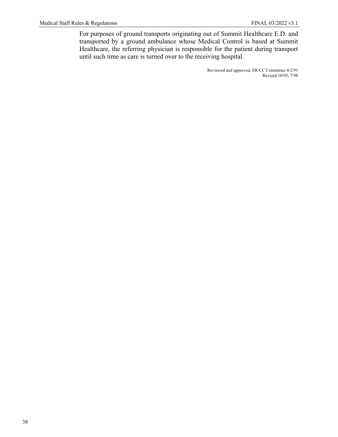For purposes of ground transports originating out of Summit Healthcare E.D. and transported by a ground ambulance whose Medical Control is based at Summit Healthcare, the referring physician is responsible for the patient during transport until such time as care is turned over to the receiving hospital.

> Reviewed and approved, ER/CC Committee 4/2/91 Revised 10/95, 7/98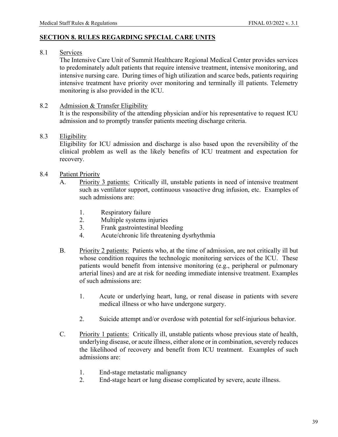# <span id="page-39-0"></span>**SECTION 8. RULES REGARDING SPECIAL CARE UNITS**

<span id="page-39-1"></span>8.1 Services

The Intensive Care Unit of Summit Healthcare Regional Medical Center provides services to predominately adult patients that require intensive treatment, intensive monitoring, and intensive nursing care. During times of high utilization and scarce beds, patients requiring intensive treatment have priority over monitoring and terminally ill patients. Telemetry monitoring is also provided in the ICU.

<span id="page-39-2"></span>8.2 Admission & Transfer Eligibility

It is the responsibility of the attending physician and/or his representative to request ICU admission and to promptly transfer patients meeting discharge criteria.

# <span id="page-39-3"></span>8.3 Eligibility

Eligibility for ICU admission and discharge is also based upon the reversibility of the clinical problem as well as the likely benefits of ICU treatment and expectation for recovery.

- <span id="page-39-4"></span>8.4 Patient Priority
	- A. Priority 3 patients: Critically ill, unstable patients in need of intensive treatment such as ventilator support, continuous vasoactive drug infusion, etc. Examples of such admissions are:
		- 1. Respiratory failure
		- 2. Multiple systems injuries
		- 3. Frank gastrointestinal bleeding
		- 4. Acute/chronic life threatening dysrhythmia
	- B. Priority 2 patients: Patients who, at the time of admission, are not critically ill but whose condition requires the technologic monitoring services of the ICU. These patients would benefit from intensive monitoring (e.g., peripheral or pulmonary arterial lines) and are at risk for needing immediate intensive treatment. Examples of such admissions are:
		- 1. Acute or underlying heart, lung, or renal disease in patients with severe medical illness or who have undergone surgery.
		- 2. Suicide attempt and/or overdose with potential for self-injurious behavior.
	- C. Priority 1 patients: Critically ill, unstable patients whose previous state of health, underlying disease, or acute illness, either alone or in combination, severely reduces the likelihood of recovery and benefit from ICU treatment. Examples of such admissions are:
		- 1. End-stage metastatic malignancy
		- 2. End-stage heart or lung disease complicated by severe, acute illness.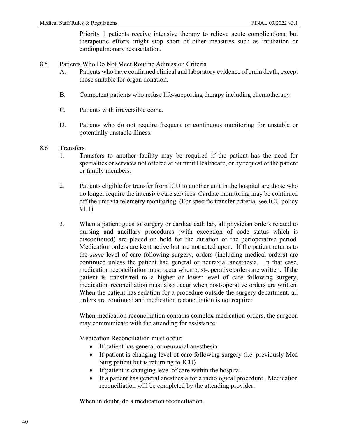Priority 1 patients receive intensive therapy to relieve acute complications, but therapeutic efforts might stop short of other measures such as intubation or cardiopulmonary resuscitation.

### <span id="page-40-0"></span>8.5 Patients Who Do Not Meet Routine Admission Criteria

- A. Patients who have confirmed clinical and laboratory evidence of brain death, except those suitable for organ donation.
- B. Competent patients who refuse life-supporting therapy including chemotherapy.
- C. Patients with irreversible coma.
- D. Patients who do not require frequent or continuous monitoring for unstable or potentially unstable illness.
- <span id="page-40-1"></span>8.6 Transfers
	- 1. Transfers to another facility may be required if the patient has the need for specialties or services not offered at Summit Healthcare, or by request of the patient or family members.
	- 2. Patients eligible for transfer from ICU to another unit in the hospital are those who no longer require the intensive care services. Cardiac monitoring may be continued off the unit via telemetry monitoring. (For specific transfer criteria, see ICU policy #1.1)
	- 3. When a patient goes to surgery or cardiac cath lab, all physician orders related to nursing and ancillary procedures (with exception of code status which is discontinued) are placed on hold for the duration of the perioperative period. Medication orders are kept active but are not acted upon. If the patient returns to the *same* level of care following surgery, orders (including medical orders) are continued unless the patient had general or neuraxial anesthesia. In that case, medication reconciliation must occur when post-operative orders are written. If the patient is transferred to a higher or lower level of care following surgery, medication reconciliation must also occur when post-operative orders are written. When the patient has sedation for a procedure outside the surgery department, all orders are continued and medication reconciliation is not required

When medication reconciliation contains complex medication orders, the surgeon may communicate with the attending for assistance.

Medication Reconciliation must occur:

- If patient has general or neuraxial anesthesia
- If patient is changing level of care following surgery (i.e. previously Med Surg patient but is returning to ICU)
- If patient is changing level of care within the hospital
- If a patient has general anesthesia for a radiological procedure. Medication reconciliation will be completed by the attending provider.

When in doubt, do a medication reconciliation.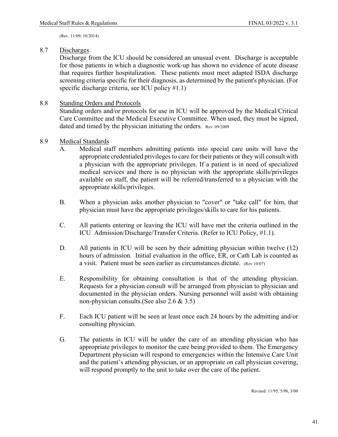(Rev. 11/09; 10/2014)

#### <span id="page-41-0"></span>8.7 Discharges

Discharge from the ICU should be considered an unusual event. Discharge is acceptable for those patients in which a diagnostic work-up has shown no evidence of acute disease that requires further hospitalization. These patients must meet adapted ISDA discharge screening criteria specific for their diagnosis, as determined by the patient's physician. (For specific discharge criteria, see ICU policy #1.1)

#### <span id="page-41-1"></span>8.8 Standing Orders and Protocols

Standing orders and/or protocols for use in ICU will be approved by the Medical/Critical Care Committee and the Medical Executive Committee. When used, they must be signed, dated and timed by the physician initiating the orders. Rev. 09/2009

#### <span id="page-41-2"></span>8.9 Medical Standards

- A. Medical staff members admitting patients into special care units will have the appropriate credentialed privileges to care for their patients or they will consult with a physician with the appropriate privileges. If a patient is in need of specialized medical services and there is no physician with the appropriate skills/privileges available on staff, the patient will be referred/transferred to a physician with the appropriate skills/privileges.
- B. When a physician asks another physician to "cover" or "take call" for him, that physician must have the appropriate privileges/skills to care for his patients.
- C. All patients entering or leaving the ICU will have met the criteria outlined in the ICU Admission/Discharge/Transfer Criteria. (Refer to ICU Policy, #1.1).
- D. All patients in ICU will be seen by their admitting physician within twelve (12) hours of admission. Initial evaluation in the office, ER, or Cath Lab is counted as a visit. Patient must be seen earlier as circumstances dictate. (Rev 10/07)
- E. Responsibility for obtaining consultation is that of the attending physician. Requests for a physician consult will be arranged from physician to physician and documented in the physician orders. Nursing personnel will assist with obtaining non-physician consults.(See also 2.6 & 3.5)
- F. Each ICU patient will be seen at least once each 24 hours by the admitting and/or consulting physician.
- G. The patients in ICU will be under the care of an attending physician who has appropriate privileges to monitor the care being provided to them. The Emergency Department physician will respond to emergencies within the Intensive Care Unit and the patient's attending physician, or an appropriate on call physician covering, will respond promptly to the unit to take over the care of the patient.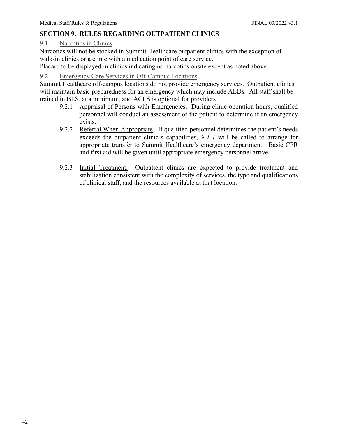# <span id="page-42-0"></span>**SECTION 9. RULES REGARDING OUTPATIENT CLINICS**

### <span id="page-42-1"></span>9.1 Narcotics in Clinics

Narcotics will not be stocked in Summit Healthcare outpatient clinics with the exception of walk-in clinics or a clinic with a medication point of care service.

Placard to be displayed in clinics indicating no narcotics onsite except as noted above.

# <span id="page-42-2"></span>9.2 Emergency Care Services in Off-Campus Locations

Summit Healthcare off-campus locations do not provide emergency services. Outpatient clinics will maintain basic preparedness for an emergency which may include AEDs. All staff shall be trained in BLS, at a minimum, and ACLS is optional for providers.

- 9.2.1 Appraisal of Persons with Emergencies. During clinic operation hours, qualified personnel will conduct an assessment of the patient to determine if an emergency exists.
- 9.2.2 Referral When Appropriate. If qualified personnel determines the patient's needs exceeds the outpatient clinic's capabilities, *9-1-1* will be called to arrange for appropriate transfer to Summit Healthcare's emergency department. Basic CPR and first aid will be given until appropriate emergency personnel arrive.
- 9.2.3 Initial Treatment. Outpatient clinics are expected to provide treatment and stabilization consistent with the complexity of services, the type and qualifications of clinical staff, and the resources available at that location.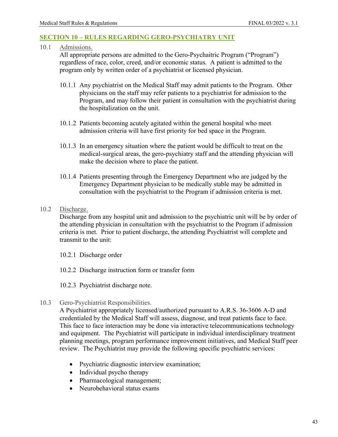#### <span id="page-43-0"></span>**SECTION 10 – RULES REGARDING GERO-PSYCHIATRY UNIT**

<span id="page-43-1"></span>10.1 Admissions.

All appropriate persons are admitted to the Gero-Psychaitric Program ("Program") regardless of race, color, creed, and/or economic status. A patient is admitted to the program only by written order of a psychiatrist or licensed physician.

- 10.1.1 Any psychiatrist on the Medical Staff may admit patients to the Program. Other physicians on the staff may refer patients to a psychiatrist for admission to the Program, and may follow their patient in consultation with the psychiatrist during the hospitalization on the unit.
- 10.1.2 Patients becoming acutely agitated within the general hospital who meet admission criteria will have first priority for bed space in the Program.
- 10.1.3 In an emergency situation where the patient would be difficult to treat on the medical-surgical areas, the gero-psychiatry staff and the attending physician will make the decision where to place the patient.
- 10.1.4 Patients presenting through the Emergency Department who are judged by the Emergency Department physician to be medically stable may be admitted in consultation with the psychiatrist to the Program if admission criteria is met.
- <span id="page-43-2"></span>10.2 Discharge.

Discharge from any hospital unit and admission to the psychiatric unit will be by order of the attending physician in consultation with the psychiatrist to the Program if admission criteria is met. Prior to patient discharge, the attending Psychiatrist will complete and transmit to the unit:

10.2.1 Discharge order

- 10.2.2 Discharge instruction form or transfer form
- 10.2.3 Psychiatrist discharge note.
- <span id="page-43-3"></span>10.3 Gero-Psychiatrist Responsibilities.

A Psychiatrist appropriately licensed/authorized pursuant to A.R.S. 36-3606 A-D and credentialed by the Medical Staff will assess, diagnose, and treat patients face to face. This face to face interaction may be done via interactive telecommunications technology and equipment. The Psychiatrist will participate in individual interdisciplinary treatment planning meetings, program performance improvement initiatives, and Medical Staff peer review. The Psychiatrist may provide the following specific psychiatric services:

- Psychiatric diagnostic interview examination;
- Individual psycho therapy
- Pharmacological management;
- Neurobehavioral status exams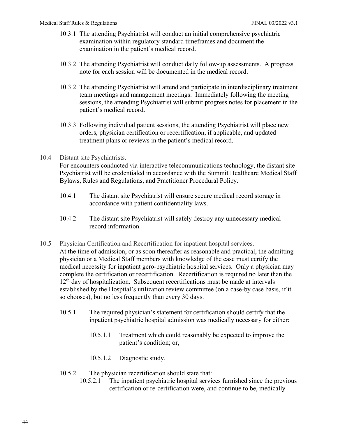- 10.3.1 The attending Psychiatrist will conduct an initial comprehensive psychiatric examination within regulatory standard timeframes and document the examination in the patient's medical record.
- 10.3.2 The attending Psychiatrist will conduct daily follow-up assessments. A progress note for each session will be documented in the medical record.
- 10.3.2 The attending Psychiatrist will attend and participate in interdisciplinary treatment team meetings and management meetings. Immediately following the meeting sessions, the attending Psychiatrist will submit progress notes for placement in the patient's medical record.
- 10.3.3 Following individual patient sessions, the attending Psychiatrist will place new orders, physician certification or recertification, if applicable, and updated treatment plans or reviews in the patient's medical record.
- <span id="page-44-0"></span>10.4 Distant site Psychiatrists.

For encounters conducted via interactive telecommunications technology, the distant site Psychiatrist will be credentialed in accordance with the Summit Healthcare Medical Staff Bylaws, Rules and Regulations, and Practitioner Procedural Policy.

- 10.4.1 The distant site Psychiatrist will ensure secure medical record storage in accordance with patient confidentiality laws.
- 10.4.2 The distant site Psychiatrist will safely destroy any unnecessary medical record information.
- <span id="page-44-1"></span>10.5 Physician Certification and Recertification for inpatient hospital services. At the time of admission, or as soon thereafter as reasonable and practical, the admitting physician or a Medical Staff members with knowledge of the case must certify the medical necessity for inpatient gero-psychiatric hospital services. Only a physician may complete the certification or recertification. Recertification is required no later than the  $12<sup>th</sup>$  day of hospitalization. Subsequent recertifications must be made at intervals established by the Hospital's utilization review committee (on a case-by case basis, if it so chooses), but no less frequently than every 30 days.
	- 10.5.1 The required physician's statement for certification should certify that the inpatient psychiatric hospital admission was medically necessary for either:
		- 10.5.1.1 Treatment which could reasonably be expected to improve the patient's condition; or,
		- 10.5.1.2 Diagnostic study.
	- 10.5.2 The physician recertification should state that:
		- 10.5.2.1 The inpatient psychiatric hospital services furnished since the previous certification or re-certification were, and continue to be, medically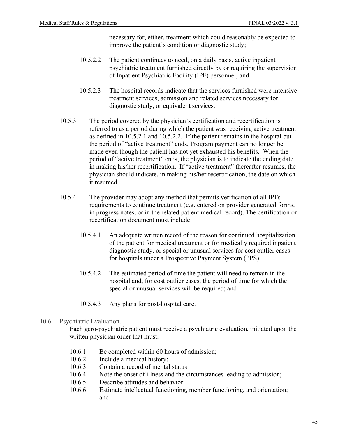necessary for, either, treatment which could reasonably be expected to improve the patient's condition or diagnostic study;

- 10.5.2.2 The patient continues to need, on a daily basis, active inpatient psychiatric treatment furnished directly by or requiring the supervision of Inpatient Psychiatric Facility (IPF) personnel; and
- 10.5.2.3 The hospital records indicate that the services furnished were intensive treatment services, admission and related services necessary for diagnostic study, or equivalent services.
- 10.5.3 The period covered by the physician's certification and recertification is referred to as a period during which the patient was receiving active treatment as defined in 10.5.2.1 and 10.5.2.2. If the patient remains in the hospital but the period of "active treatment" ends, Program payment can no longer be made even though the patient has not yet exhausted his benefits. When the period of "active treatment" ends, the physician is to indicate the ending date in making his/her recertification. If "active treatment" thereafter resumes, the physician should indicate, in making his/her recertification, the date on which it resumed.
- 10.5.4 The provider may adopt any method that permits verification of all IPFs requirements to continue treatment (e.g. entered on provider generated forms, in progress notes, or in the related patient medical record). The certification or recertification document must include:
	- 10.5.4.1 An adequate written record of the reason for continued hospitalization of the patient for medical treatment or for medically required inpatient diagnostic study, or special or unusual services for cost outlier cases for hospitals under a Prospective Payment System (PPS);
	- 10.5.4.2 The estimated period of time the patient will need to remain in the hospital and, for cost outlier cases, the period of time for which the special or unusual services will be required; and
	- 10.5.4.3 Any plans for post-hospital care.
- <span id="page-45-0"></span>10.6 Psychiatric Evaluation.

Each gero-psychiatric patient must receive a psychiatric evaluation, initiated upon the written physician order that must:

- 10.6.1 Be completed within 60 hours of admission;
- 10.6.2 Include a medical history;
- 10.6.3 Contain a record of mental status<br>10.6.4 Note the onset of illness and the c
- Note the onset of illness and the circumstances leading to admission;
- 10.6.5 Describe attitudes and behavior;
- 10.6.6 Estimate intellectual functioning, member functioning, and orientation; and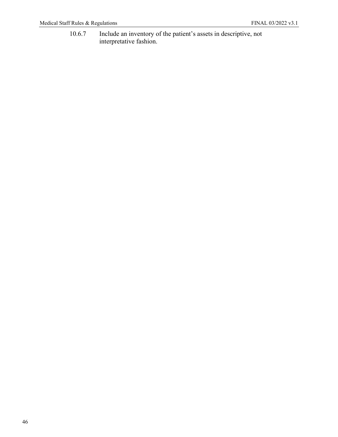10.6.7 Include an inventory of the patient's assets in descriptive, not interpretative fashion.